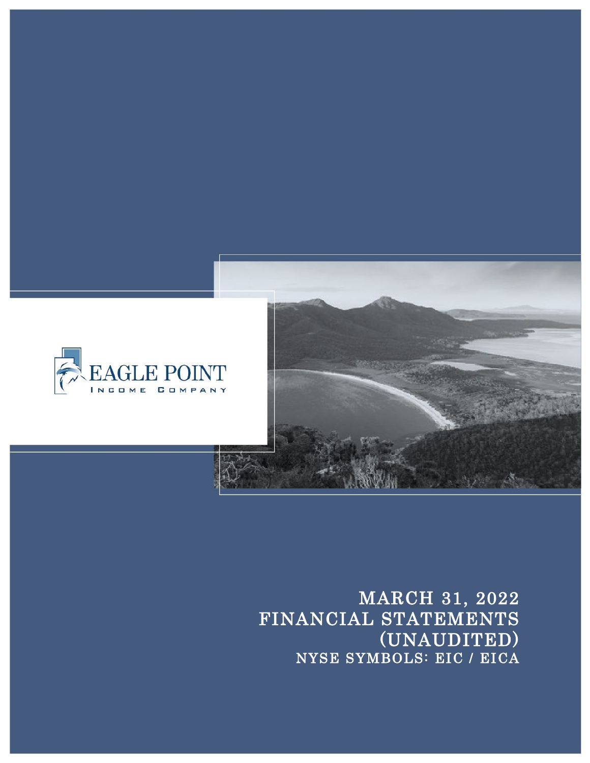

MARCH 31, 2022 FINANCIAL STATEMENTS<br>(UNAUDITED) NYSE SYMBOLS: EIC / EICA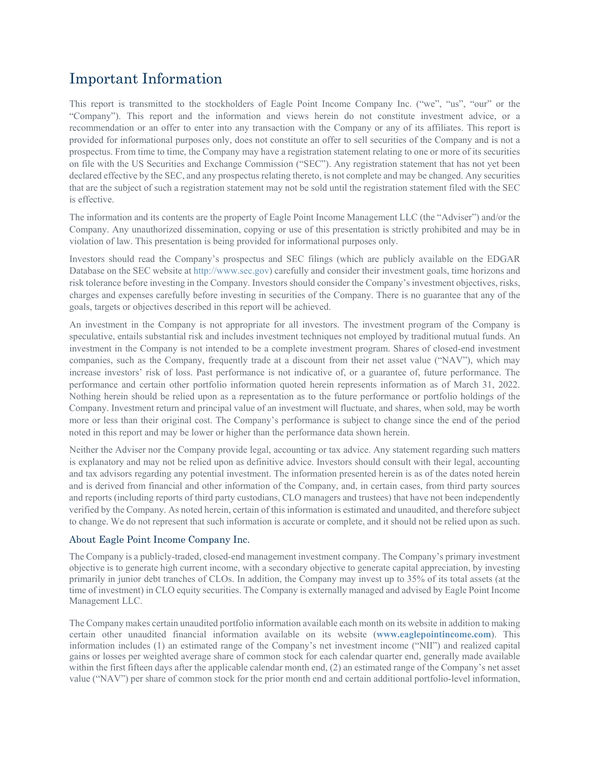# Important Information

This report is transmitted to the stockholders of Eagle Point Income Company Inc. ("we", "us", "our" or the "Company"). This report and the information and views herein do not constitute investment advice, or a recommendation or an offer to enter into any transaction with the Company or any of its affiliates. This report is provided for informational purposes only, does not constitute an offer to sell securities of the Company and is not a prospectus. From time to time, the Company may have a registration statement relating to one or more of its securities on file with the US Securities and Exchange Commission ("SEC"). Any registration statement that has not yet been declared effective by the SEC, and any prospectus relating thereto, is not complete and may be changed. Any securities that are the subject of such a registration statement may not be sold until the registration statement filed with the SEC is effective.

The information and its contents are the property of Eagle Point Income Management LLC (the "Adviser") and/or the Company. Any unauthorized dissemination, copying or use of this presentation is strictly prohibited and may be in violation of law. This presentation is being provided for informational purposes only.

Investors should read the Company's prospectus and SEC filings (which are publicly available on the EDGAR Database on the SEC website at http://www.sec.gov) carefully and consider their investment goals, time horizons and risk tolerance before investing in the Company. Investors should consider the Company's investment objectives, risks, charges and expenses carefully before investing in securities of the Company. There is no guarantee that any of the goals, targets or objectives described in this report will be achieved.

An investment in the Company is not appropriate for all investors. The investment program of the Company is speculative, entails substantial risk and includes investment techniques not employed by traditional mutual funds. An investment in the Company is not intended to be a complete investment program. Shares of closed-end investment companies, such as the Company, frequently trade at a discount from their net asset value ("NAV"), which may increase investors' risk of loss. Past performance is not indicative of, or a guarantee of, future performance. The performance and certain other portfolio information quoted herein represents information as of March 31, 2022. Nothing herein should be relied upon as a representation as to the future performance or portfolio holdings of the Company. Investment return and principal value of an investment will fluctuate, and shares, when sold, may be worth more or less than their original cost. The Company's performance is subject to change since the end of the period noted in this report and may be lower or higher than the performance data shown herein.

Neither the Adviser nor the Company provide legal, accounting or tax advice. Any statement regarding such matters is explanatory and may not be relied upon as definitive advice. Investors should consult with their legal, accounting and tax advisors regarding any potential investment. The information presented herein is as of the dates noted herein and is derived from financial and other information of the Company, and, in certain cases, from third party sources and reports (including reports of third party custodians, CLO managers and trustees) that have not been independently verified by the Company. As noted herein, certain of this information is estimated and unaudited, and therefore subject to change. We do not represent that such information is accurate or complete, and it should not be relied upon as such.

# About Eagle Point Income Company Inc.

The Company is a publicly-traded, closed-end management investment company. The Company's primary investment objective is to generate high current income, with a secondary objective to generate capital appreciation, by investing primarily in junior debt tranches of CLOs. In addition, the Company may invest up to 35% of its total assets (at the time of investment) in CLO equity securities. The Company is externally managed and advised by Eagle Point Income Management LLC.

The Company makes certain unaudited portfolio information available each month on its website in addition to making certain other unaudited financial information available on its website (**www.eaglepointincome.com**). This information includes (1) an estimated range of the Company's net investment income ("NII") and realized capital gains or losses per weighted average share of common stock for each calendar quarter end, generally made available within the first fifteen days after the applicable calendar month end, (2) an estimated range of the Company's net asset value ("NAV") per share of common stock for the prior month end and certain additional portfolio-level information,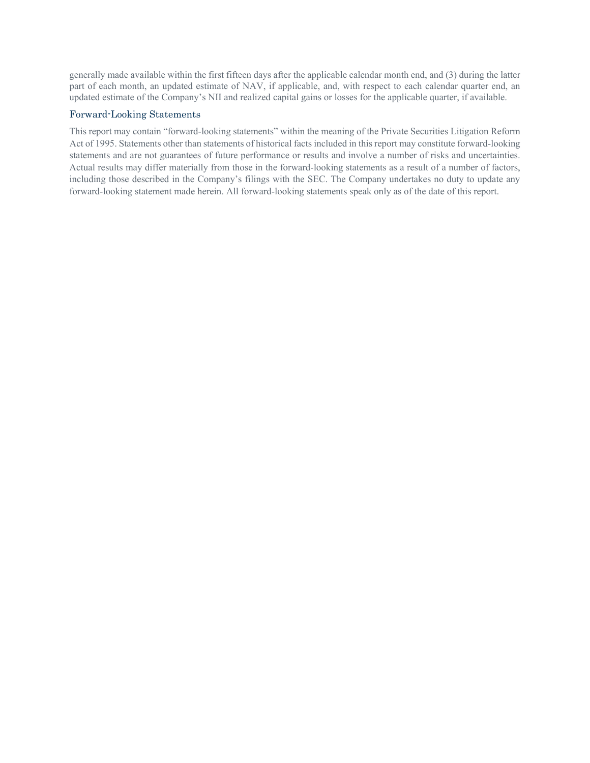generally made available within the first fifteen days after the applicable calendar month end, and (3) during the latter part of each month, an updated estimate of NAV, if applicable, and, with respect to each calendar quarter end, an updated estimate of the Company's NII and realized capital gains or losses for the applicable quarter, if available.

# Forward-Looking Statements

This report may contain "forward-looking statements" within the meaning of the Private Securities Litigation Reform Act of 1995. Statements other than statements of historical facts included in this report may constitute forward-looking statements and are not guarantees of future performance or results and involve a number of risks and uncertainties. Actual results may differ materially from those in the forward-looking statements as a result of a number of factors, including those described in the Company's filings with the SEC. The Company undertakes no duty to update any forward-looking statement made herein. All forward-looking statements speak only as of the date of this report.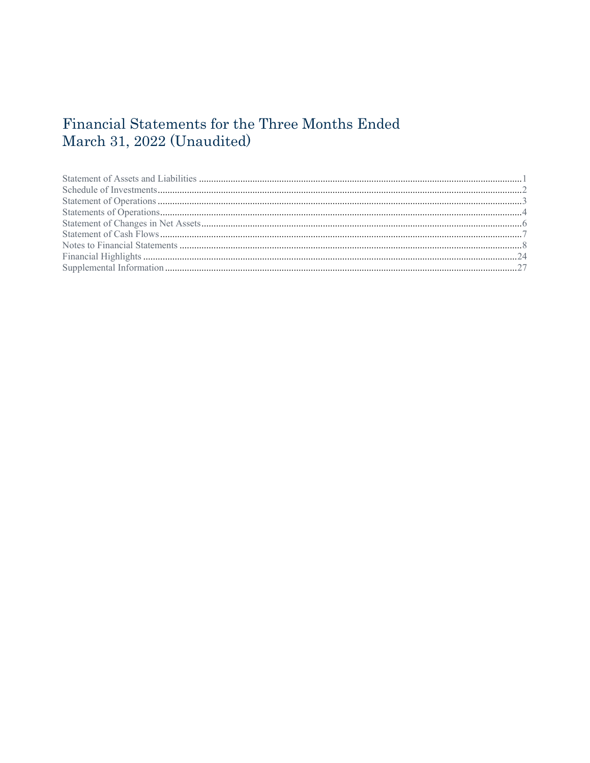# Financial Statements for the Three Months Ended March 31, 2022 (Unaudited)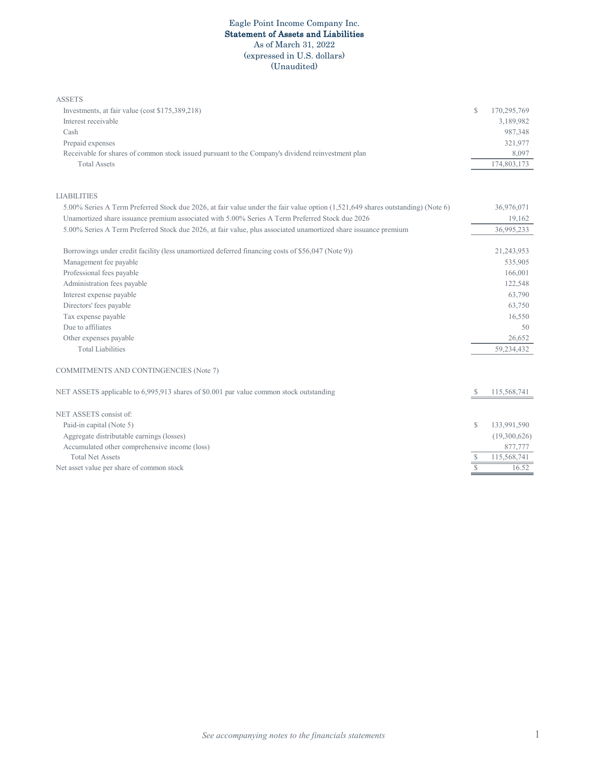### Eagle Point Income Company Inc. Statement of Assets and Liabilities As of March 31, 2022 (expressed in U.S. dollars) (Unaudited)

| Investments, at fair value (cost \$175,389,218)                                                                                 | $\mathbb{S}$   | 170,295,769  |
|---------------------------------------------------------------------------------------------------------------------------------|----------------|--------------|
|                                                                                                                                 |                |              |
| Interest receivable                                                                                                             |                | 3,189,982    |
| Cash                                                                                                                            |                | 987,348      |
| Prepaid expenses                                                                                                                |                | 321,977      |
| Receivable for shares of common stock issued pursuant to the Company's dividend reinvestment plan                               |                | 8,097        |
| <b>Total Assets</b>                                                                                                             |                | 174,803,173  |
| <b>LIABILITIES</b>                                                                                                              |                |              |
| 5.00% Series A Term Preferred Stock due 2026, at fair value under the fair value option (1,521,649 shares outstanding) (Note 6) |                | 36,976,071   |
| Unamortized share issuance premium associated with 5.00% Series A Term Preferred Stock due 2026                                 |                | 19,162       |
| 5.00% Series A Term Preferred Stock due 2026, at fair value, plus associated unamortized share issuance premium                 |                | 36,995,233   |
| Borrowings under credit facility (less unamortized deferred financing costs of \$56,047 (Note 9))                               |                | 21,243,953   |
| Management fee payable                                                                                                          |                | 535,905      |
| Professional fees payable                                                                                                       |                | 166,001      |
| Administration fees payable                                                                                                     |                | 122,548      |
| Interest expense payable                                                                                                        |                | 63,790       |
| Directors' fees payable                                                                                                         |                | 63,750       |
| Tax expense payable                                                                                                             |                | 16,550       |
| Due to affiliates                                                                                                               |                | 50           |
| Other expenses payable                                                                                                          |                | 26,652       |
| <b>Total Liabilities</b>                                                                                                        |                | 59,234,432   |
| COMMITMENTS AND CONTINGENCIES (Note 7)                                                                                          |                |              |
| NET ASSETS applicable to 6,995,913 shares of \$0.001 par value common stock outstanding                                         | S              | 115,568,741  |
| NET ASSETS consist of:                                                                                                          |                |              |
| Paid-in capital (Note 5)                                                                                                        | $\mathbb{S}$   | 133,991,590  |
| Aggregate distributable earnings (losses)                                                                                       |                | (19,300,626) |
| Accumulated other comprehensive income (loss)                                                                                   |                | 877,777      |
| <b>Total Net Assets</b>                                                                                                         | S              | 115,568,741  |
| Net asset value per share of common stock                                                                                       | $\overline{s}$ | 16.52        |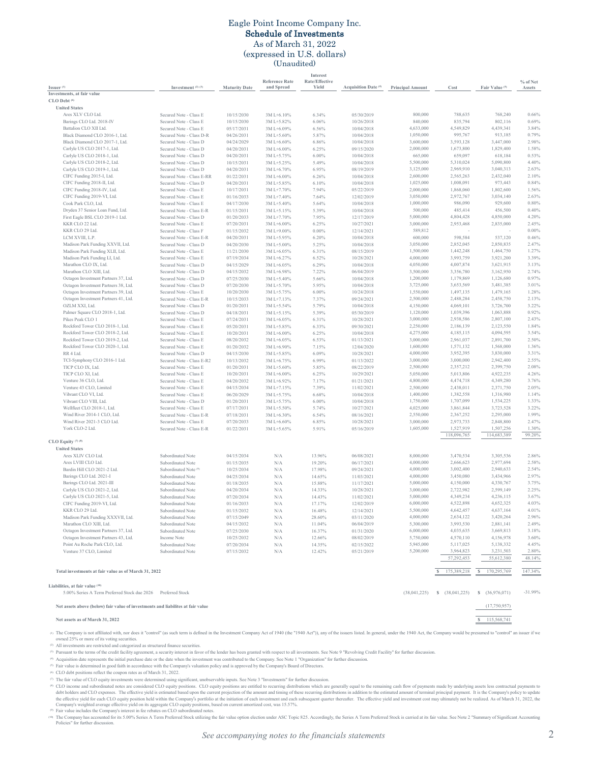### Eagle Point Income Company Inc. Schedule of Investments As of March 31, 2022

(expressed in U.S. dollars) (Unaudited)

|                                                                                 |                                                     |                          |                                     | Interest                |                                 |                         |                        |                           |                    |
|---------------------------------------------------------------------------------|-----------------------------------------------------|--------------------------|-------------------------------------|-------------------------|---------------------------------|-------------------------|------------------------|---------------------------|--------------------|
| Issuer $(1)$                                                                    | Investment (2) (3)                                  | <b>Maturity Date</b>     | <b>Reference Rate</b><br>and Spread | Rate/Effective<br>Yield | Acquisition Date <sup>(4)</sup> | <b>Principal Amount</b> | Cost                   | Fair Value <sup>(5)</sup> | % of Net<br>Assets |
| Investments, at fair value                                                      |                                                     |                          |                                     |                         |                                 |                         |                        |                           |                    |
| CLO Debt <sup>(6)</sup>                                                         |                                                     |                          |                                     |                         |                                 |                         |                        |                           |                    |
| <b>United States</b>                                                            |                                                     |                          |                                     |                         |                                 |                         |                        |                           |                    |
| Ares XLV CLO Ltd.                                                               | Secured Note - Class E                              | 10/15/2030               | 3M L+6.10%<br>3ML+5.82%             | 6.34%                   | 05/30/2019                      | 800,000                 | 788,635                | 768,240                   | 0.66%<br>0.69%     |
| Barings CLO Ltd. 2018-IV<br>Battalion CLO XII Ltd.                              | Secured Note - Class E<br>Secured Note - Class E    | 10/15/2030<br>05/17/2031 | 3M L+6.09%                          | 6.06%<br>6.56%          | 10/26/2018<br>10/04/2018        | 840,000<br>4,633,000    | 835,794<br>4,549,829   | 802,116<br>4,439,341      | 3.84%              |
| Black Diamond CLO 2016-1, Ltd.                                                  | Secured Note - Class D-R                            | 04/26/2031               | 3M L+5.60%                          | 5.87%                   | 10/04/2018                      | 1,050,000               | 995,767                | 913,185                   | 0.79%              |
| Black Diamond CLO 2017-1, Ltd.                                                  | Secured Note - Class D                              | 04/24/2029               | 3M L+6.60%                          | 6.86%                   | 10/04/2018                      | 3,600,000               | 3,593,128              | 3,447,000                 | 2.98%              |
| Carlyle US CLO 2017-1, Ltd.                                                     | Secured Note - Class D                              | 04/20/2031               | 3M L+6.00%                          | 6.25%                   | 09/15/2020                      | 2,000,000               | 1,673,800              | 1,829,400                 | 1.58%              |
| Carlyle US CLO 2018-1, Ltd.                                                     | Secured Note - Class D                              | 04/20/2031               | 3M L+5.75%                          | 6.00%                   | 10/04/2018                      | 665,000                 | 659,097                | 618,184                   | 0.53%              |
| Carlyle US CLO 2018-2, Ltd.                                                     | Secured Note - Class D                              | 10/15/2031               | 3M L+5.25%                          | 5.49%                   | 10/04/2018                      | 5,500,000               | 5,310,024              | 5,090,800                 | 4.40%              |
| Carlyle US CLO 2019-1, Ltd.                                                     | Secured Note - Class D                              | 04/20/2031               | 3M L+6.70%                          | 6.95%                   | 08/19/2019                      | 3,125,000               | 2,969,910              | 3,040,313                 | 2.63%              |
| CIFC Funding 2015-I, Ltd.                                                       | Secured Note - Class E-RR                           | 01/22/2031               | 3M L+6.00%                          | 6.26%                   | 10/04/2018                      | 2,600,000               | 2,565,263              | 2,432,040                 | 2.10%              |
| CIFC Funding 2018-II, Ltd.                                                      | Secured Note - Class D                              | 04/20/2031               | 3M L+5.85%                          | 6.10%                   | 10/04/2018                      | 1,025,000               | 1,008,091              | 973,443                   | 0.84%              |
| CIFC Funding 2018-IV, Ltd.<br>CIFC Funding 2019-VI, Ltd.                        | Secured Note - Class E<br>Secured Note - Class E    | 10/17/2031<br>01/16/2033 | 3M L+7.70%<br>3M L+7.40%            | 7.94%<br>7.64%          | 05/22/2019<br>12/02/2019        | 2,000,000<br>3,050,000  | 1,868,060<br>2,972,767 | 1,802,600<br>3,034,140    | 1.56%<br>2.63%     |
| Cook Park CLO, Ltd.                                                             | Secured Note - Class E                              | 04/17/2030               | 3M L+5.40%                          | 5.64%                   | 10/04/2018                      | 1,000,000               | 986,090                | 929,600                   | 0.80%              |
| Dryden 37 Senior Loan Fund, Ltd.                                                | Secured Note - Class E-R                            | 01/15/2031               | 3M L+5.15%                          | 5.39%                   | 10/04/2018                      | 500,000                 | 485,414                | 456,500                   | 0.40%              |
| First Eagle BSL CLO 2019-1 Ltd.                                                 | Secured Note - Class D                              | 01/20/2033               | 3M L+7.70%                          | 7.95%                   | 12/17/2019                      | 5,000,000               | 4,804,428              | 4,850,000                 | 4.20%              |
| KKR CLO 22 Ltd.                                                                 | Secured Note - Class E                              | 07/20/2031               | 3M L+6.00%                          | 6.25%                   | 10/27/2021                      | 3,000,000               | 2,953,468              | 2,835,000                 | 2.45%              |
| KKR CLO 29 Ltd.                                                                 | Secured Note - Class F                              | 01/15/2032               | 3M L+9.00%                          | 0.00%                   | 12/14/2021                      | 589,812                 |                        |                           | 0.00%              |
| LCM XVIII, L.P.                                                                 | Secured Note - Class E-R                            | 04/20/2031               | 3M L+5.95%                          | 6.20%                   | 10/04/2018                      | 600,000                 | 598,584                | 537,120                   | 0.46%              |
| Madison Park Funding XXVII, Ltd.                                                | Secured Note - Class D                              | 04/20/2030               | 3M L+5.00%                          | 5.25%                   | 10/04/2018                      | 3,050,000               | 2,852,045              | 2,850,835                 | 2.47%              |
| Madison Park Funding XLII, Ltd.                                                 | Secured Note - Class E                              | 11/21/2030               | 3M L+6.05%                          | 6.31%                   | 08/15/2019                      | 1,500,000               | 1,442,248              | 1,464,750                 | 1.27%              |
| Madison Park Funding LI, Ltd.                                                   | Secured Note - Class E                              | 07/19/2034               | 3M L+6.27%                          | 6.52%                   | 10/28/2021                      | 4,000,000               | 3,993,759              | 3,921,200                 | 3.39%              |
| Marathon CLO IX, Ltd.<br>Marathon CLO XIII, Ltd                                 | Secured Note - Class D                              | 04/15/2029               | 3M L+6.05%                          | 6.29%                   | 10/04/2018                      | 4,050,000               | 4,007,874              | 3,621,915<br>3,162,950    | 3.13%<br>2.74%     |
| Octagon Investment Partners 37, Ltd.                                            | Secured Note - Class D<br>Secured Note - Class D    | 04/15/2032<br>07/25/2030 | 3M L+6.98%<br>3M L+5.40%            | 7.22%<br>5.66%          | 06/04/2019<br>10/04/2018        | 3,500,000<br>1,200,000  | 3,356,780<br>1,179,869 | 1,126,680                 | 0.97%              |
| Octagon Investment Partners 38, Ltd.                                            | Secured Note - Class D                              | 07/20/2030               | 3M L+5.70%                          | 5.95%                   | 10/04/2018                      | 3,725,000               | 3,653,569              | 3,481,385                 | 3.01%              |
| Octagon Investment Partners 39, Ltd.                                            | Secured Note - Class E                              | 10/20/2030               | 3M L+5.75%                          | 6.00%                   | 10/24/2018                      | 1,550,000               | 1,497,135              | 1,479,165                 | 1.28%              |
| Octagon Investment Partners 41, Ltd.                                            | Secured Note - Class E-R                            | 10/15/2033               | 3M L+7.13%                          | 7.37%                   | 09/24/2021                      | 2,500,000               | 2,488,284              | 2,458,750                 | 2.13%              |
| OZLM XXI, Ltd.                                                                  | Secured Note - Class D                              | 01/20/2031               | 3M L+5.54%                          | 5.79%                   | 10/04/2018                      | 4,150,000               | 4,069,101              | 3,726,700                 | 3.22%              |
| Palmer Square CLO 2018-1, Ltd.                                                  | Secured Note - Class D                              | 04/18/2031               | 3M L+5.15%                          | 5.39%                   | 05/30/2019                      | 1,120,000               | 1,039,396              | 1,063,888                 | 0.92%              |
| Pikes Peak CLO 1                                                                | Secured Note - Class E                              | 07/24/2031               | 3M L+6.05%                          | 6.31%                   | 10/28/2021                      | 3,000,000               | 2,938,586              | 2,807,100                 | 2.43%              |
| Rockford Tower CLO 2018-1, Ltd.                                                 | Secured Note - Class E                              | 05/20/2031               | 3M L+5.85%                          | 6.33%                   | 09/30/2021                      | 2,250,000               | 2,186,139              | 2,123,550                 | 1.84%              |
| Rockford Tower CLO 2018-2, Ltd.                                                 | Secured Note - Class E                              | 10/20/2031               | 3M L+6.00%                          | 6.25%                   | 10/04/2018                      | 4,275,000               | 4,185,115              | 4,094,595                 | 3.54%              |
| Rockford Tower CLO 2019-2, Ltd.<br>Rockford Tower CLO 2020-1, Ltd.              | Secured Note - Class E                              | 08/20/2032               | 3M L+6.05%                          | 6.53%                   | 01/13/2021                      | 3,000,000               | 2,961,037              | 2,891,700                 | 2.50%              |
| RR 4 Ltd.                                                                       | Secured Note - Class E                              | 01/20/2032               | 3M L+6.90%                          | 7.15%                   | 12/04/2020                      | 1,600,000<br>4,000,000  | 1,571,132<br>3,952,395 | 1,568,000<br>3,830,000    | 1.36%<br>3.31%     |
| TCI-Symphony CLO 2016-1 Ltd.                                                    | Secured Note - Class D<br>Secured Note - Class E-R2 | 04/15/2030<br>10/13/2032 | 3M L+5.85%<br>3M L+6.75%            | 6.09%<br>6.99%          | 10/28/2021<br>01/13/2022        | 3,000,000               | 3,000,000              | 2,942,400                 | 2.55%              |
| TICP CLO IX, Ltd.                                                               | Secured Note - Class E                              | 01/20/2031               | 3M L+5.60%                          | 5.85%                   | 08/22/2019                      | 2,500,000               | 2,357,212              | 2,399,750                 | 2.08%              |
| TICP CLO XI, Ltd.                                                               | Secured Note - Class E                              | 10/20/2031               | 3M L+6.00%                          | 6.25%                   | 10/29/2021                      | 5,050,000               | 5,013,806              | 4,922,235                 | 4.26%              |
| Venture 36 CLO, Ltd.                                                            | Secured Note - Class E                              | 04/20/2032               | 3M L+6.92%                          | 7.17%                   | 01/21/2021                      | 4,800,000               | 4,474,718              | 4,349,280                 | 3.76%              |
| Venture 43 CLO, Limited                                                         | Secured Note - Class E                              | 04/15/2034               | 3M L+7.15%                          | 7.39%                   | 11/02/2021                      | 2,500,000               | 2,438,011              | 2,371,750                 | 2.05%              |
| Vibrant CLO VI, Ltd.                                                            | Secured Note - Class E                              | 06/20/2029               | 3M L+5.75%                          | 6.68%                   | 10/04/2018                      | 1,400,000               | 1,382,558              | 1,316,980                 | 1.14%              |
| Vibrant CLO VIII, Ltd.                                                          | Secured Note - Class D                              | 01/20/2031               | 3M L+5.75%                          | 6.00%                   | 10/04/2018                      | 1,750,000               | 1,707,099              | 1,534,225                 | 1.33%              |
| Wellfleet CLO 2018-1, Ltd.                                                      | Secured Note - Class E                              | 07/17/2031               | 3M L+5.50%                          | 5.74%                   | 10/27/2021                      | 4,025,000               | 3,861,844              | 3,723,528                 | 3.22%              |
| Wind River 2014-1 CLO, Ltd.                                                     | Secured Note - Class E-R                            | 07/18/2031               | 3M L+6.30%                          | 6.54%                   | 08/16/2021                      | 2,550,000               | 2,367,252              | 2,295,000                 | 1.99%              |
| Wind River 2021-3 CLO Ltd.<br>York CLO-2 Ltd.                                   | Secured Note - Class E<br>Secured Note - Class E-R  | 07/20/2033               | 3M L+6.60%                          | 6.85%<br>5.91%          | 10/28/2021                      | 3,000,000<br>1,605,000  | 2,973,733<br>1,527,919 | 2,848,800<br>1,507,256    | 2.47%<br>1.30%     |
|                                                                                 |                                                     | 01/22/2031               | 3M L+5.65%                          |                         | 05/16/2019                      |                         | 118,096,765            | 114,683,389               | 99.20%             |
| CLO Equity $(7)$ (8)                                                            |                                                     |                          |                                     |                         |                                 |                         |                        |                           |                    |
| <b>United States</b>                                                            |                                                     |                          |                                     |                         |                                 |                         |                        |                           |                    |
| Ares XLIV CLO Ltd.                                                              | Subordinated Note                                   | 04/15/2034               | N/A                                 | 13.96%                  | 06/08/2021                      | 8,000,000               | 3,470,534              | 3,305,536                 | 2.86%              |
| Ares LVIII CLO Ltd.                                                             | Subordinated Note                                   | 01/15/2035               | N/A                                 | 19.20%                  | 06/17/2021                      | 4,000,000               | 2,666,623              | 2,977,694                 | 2.58%              |
| Bardin Hill CLO 2021-2 Ltd.                                                     | Subordinated Note <sup>(9)</sup>                    | 10/25/2034               | N/A                                 | 17.98%                  | 09/24/2021                      | 4,000,000               | 3,002,400              | 2,940,633                 | 2.54%              |
| Barings CLO Ltd. 2021-I                                                         | Subordinated Note                                   | 04/25/2034               | N/A                                 | 14.65%                  | 11/03/2021                      | 4,000,000               | 3,450,080              | 3,434,966                 | 2.97%              |
| Barings CLO Ltd. 2021-III                                                       | Subordinated Note                                   | 01/18/2035               | N/A                                 | 15.88%                  | 11/17/2021                      | 5,000,000               | 4,150,000              | 4,330,767                 | 3.75%              |
| Carlyle US CLO 2021-2, Ltd.                                                     | Subordinated Note                                   | 04/20/2034               | N/A                                 | 14.33%                  | 10/28/2021                      | 3,000,000<br>5,000,000  | 2,722,982<br>4,349,234 | 2,599,149<br>4,236,115    | 2.25%<br>3.67%     |
| Carlyle US CLO 2021-5, Ltd.<br>CIFC Funding 2019-VI, Ltd.                       | Subordinated Note                                   | 07/20/2034<br>01/16/2033 | N/A                                 | 14.43%                  | 11/02/2021                      |                         |                        |                           | 4.03%              |
| KKR CLO 29 Ltd.                                                                 | Subordinated Note<br>Subordinated Note              | 01/15/2032               | N/A<br>N/A                          | 17.17%<br>16.48%        | 12/02/2019<br>12/14/2021        | 6,000,000<br>5,500,000  | 4,522,898<br>4,642,457 | 4,652,525<br>4,637,164    | 4.01%              |
| Madison Park Funding XXXVII, Ltd.                                               | Subordinated Note                                   | 07/15/2049               | N/A                                 | 28.60%                  | 03/11/2020                      | 4,000,000               | 2,634,122              | 3,420,264                 | 2.96%              |
| Marathon CLO XIII, Ltd.                                                         | Subordinated Note                                   | 04/15/2032               | N/A                                 | 11.04%                  | 06/04/2019                      | 5,300,000               | 3,993,530              | 2,881,141                 | 2.49%              |
| Octagon Investment Partners 37, Ltd.                                            | Subordinated Note                                   | 07/25/2030               | N/A                                 | 16.37%                  | 01/31/2020                      | 6,000,000               | 4,035,635              | 3,669,813                 | 3.18%              |
| Octagon Investment Partners 43, Ltd.                                            | Income Note                                         | 10/25/2032               | N/A                                 | 12.66%                  | 08/02/2019                      | 5,750,000               | 4,570,110              | 4,156,978                 | 3.60%              |
| Point Au Roche Park CLO, Ltd.                                                   | Subordinated Note                                   | 07/20/2034               | N/A                                 | 14.35%                  | 02/15/2022                      | 5,945,000               | 5,117,025              | 5,138,332                 | 4.45%              |
| Venture 37 CLO, Limited                                                         | Subordinated Note                                   | 07/15/2032               | N/A                                 | 12.42%                  | 05/21/2019                      | 5,200,000               | 3,964,823              | 3,231,503                 | 2.80%              |
|                                                                                 |                                                     |                          |                                     |                         |                                 |                         | 57,292,453             | 55,612,380                | 48.14%             |
|                                                                                 |                                                     |                          |                                     |                         |                                 |                         |                        |                           |                    |
| Total investments at fair value as of March 31, 2022                            |                                                     |                          |                                     |                         |                                 |                         | 175,389,218            | 170,295,769<br>s          | 147.34%            |
| Liabilities, at fair value (10)                                                 |                                                     |                          |                                     |                         |                                 |                         |                        |                           |                    |
| 5.00% Series A Term Preferred Stock due 2026                                    | Preferred Stock                                     |                          |                                     |                         |                                 | (38,041,225)            | \$ (38,041,225)        | \$ (36,976,071)           | $-31.99%$          |
|                                                                                 |                                                     |                          |                                     |                         |                                 |                         |                        |                           |                    |
| Net assets above (below) fair value of investments and liabilites at fair value |                                                     |                          |                                     |                         |                                 |                         |                        | (17,750,957)              |                    |
| Net assets as of March 31, 2022                                                 |                                                     |                          |                                     |                         |                                 |                         |                        | 115,568,741<br>s          |                    |
|                                                                                 |                                                     |                          | $0.010004 - 0.01040$                |                         |                                 |                         |                        |                           |                    |

 $^{(1)}$ The Company is not affiliated with, nor does it "control" (as such term is defined in the Investment Company Act of 1940 (the "1940 Act")), any of the issuers listed. In general, under the 1940 Act, the Company would be pr owned 25% or more of its voting securities.

⁽²⁾ All investments are restricted and categorized as structured finance securities.

⁽³⁾ Pursuant to the terms of the credit facility agreement, a security interest in favor of the lender has been granted with respect to all investments. See Note 9 "Revolving Credit Facility" for further discussion.

⁽⁴⁾ Acquisition date represents the initial purchase date or the date when the investment was contributed to the Company. See Note 1 "Organization" for further discussion.

の Fair value is determined in good faith in accordance with the Company's valuation policy and is approved by the Company's Board of Directors.<br>◎ CLO debt positions reflect the coupon rates as of March 31, 2022.

⁽⁷⁾ The fair value of CLO equity investments were determined using significant, unobservable inputs. See Note 3 "Investments" for further discussion.

 $^{\left(8\right)}$ CLO income and subordinated notes are considered CLO equity positions. CLO equity positions are entitled to recurring distributions which are generally equal to the remaining cash flow of payments made by underlying assets

Fair value includes the Company's interest in fee rebates on CLO subordinated notes.

® Fair value includes the Company's interest in fee rebates on CLO subordinated notes.<br>□ Pne Company has accounted for its 5.00% Series A Term Preferred Stock utilizing the fair value option election under ASC Topic 825.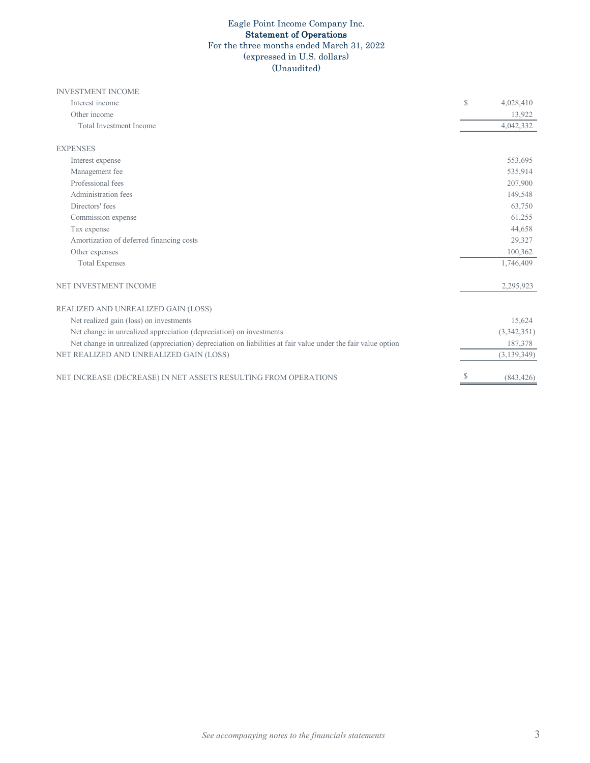# Eagle Point Income Company Inc. Statement of Operations

For the three months ended March 31, 2022

# (expressed in U.S. dollars)

(Unaudited)

| <b>INVESTMENT INCOME</b>                                                                                      |    |               |
|---------------------------------------------------------------------------------------------------------------|----|---------------|
| Interest income                                                                                               | S  | 4,028,410     |
| Other income                                                                                                  |    | 13,922        |
| <b>Total Investment Income</b>                                                                                |    | 4,042,332     |
| <b>EXPENSES</b>                                                                                               |    |               |
| Interest expense                                                                                              |    | 553,695       |
| Management fee                                                                                                |    | 535,914       |
| Professional fees                                                                                             |    | 207,900       |
| Administration fees                                                                                           |    | 149,548       |
| Directors' fees                                                                                               |    | 63,750        |
| Commission expense                                                                                            |    | 61,255        |
| Tax expense                                                                                                   |    | 44,658        |
| Amortization of deferred financing costs                                                                      |    | 29,327        |
| Other expenses                                                                                                |    | 100,362       |
| <b>Total Expenses</b>                                                                                         |    | 1,746,409     |
| NET INVESTMENT INCOME                                                                                         |    | 2,295,923     |
| REALIZED AND UNREALIZED GAIN (LOSS)                                                                           |    |               |
| Net realized gain (loss) on investments                                                                       |    | 15,624        |
| Net change in unrealized appreciation (depreciation) on investments                                           |    | (3,342,351)   |
| Net change in unrealized (appreciation) depreciation on liabilities at fair value under the fair value option |    | 187,378       |
| NET REALIZED AND UNREALIZED GAIN (LOSS)                                                                       |    | (3, 139, 349) |
| NET INCREASE (DECREASE) IN NET ASSETS RESULTING FROM OPERATIONS                                               | \$ | (843, 426)    |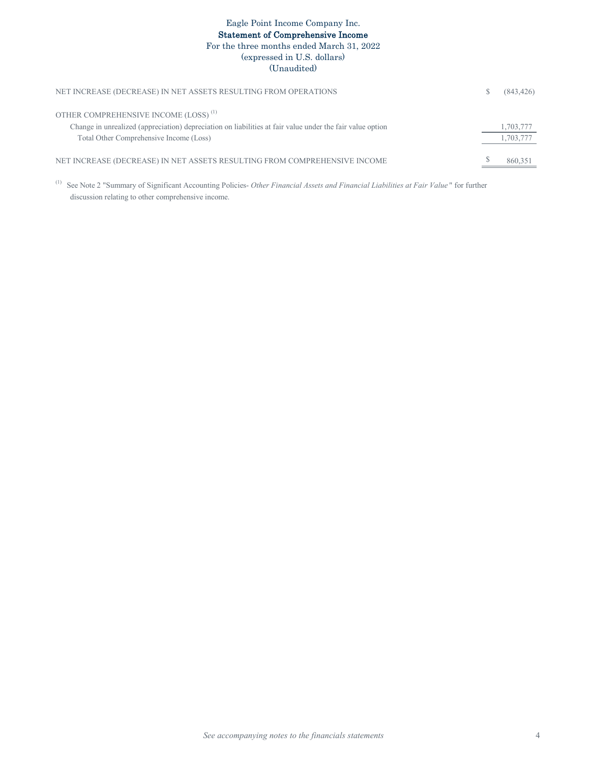# Eagle Point Income Company Inc. Statement of Comprehensive Income For the three months ended March 31, 2022 (expressed in U.S. dollars) (Unaudited)

| NET INCREASE (DECREASE) IN NET ASSETS RESULTING FROM OPERATIONS                                           | (843, 426) |
|-----------------------------------------------------------------------------------------------------------|------------|
| OTHER COMPREHENSIVE INCOME (LOSS) <sup>(1)</sup>                                                          |            |
| Change in unrealized (appreciation) depreciation on liabilities at fair value under the fair value option | 1,703,777  |
| Total Other Comprehensive Income (Loss)                                                                   | 1,703,777  |
| NET INCREASE (DECREASE) IN NET ASSETS RESULTING FROM COMPREHENSIVE INCOME                                 | 860,351    |

(1) See Note 2 "Summary of Significant Accounting Policies- *Other Financial Assets and Financial Liabilities at Fair Value* " for further discussion relating to other comprehensive income.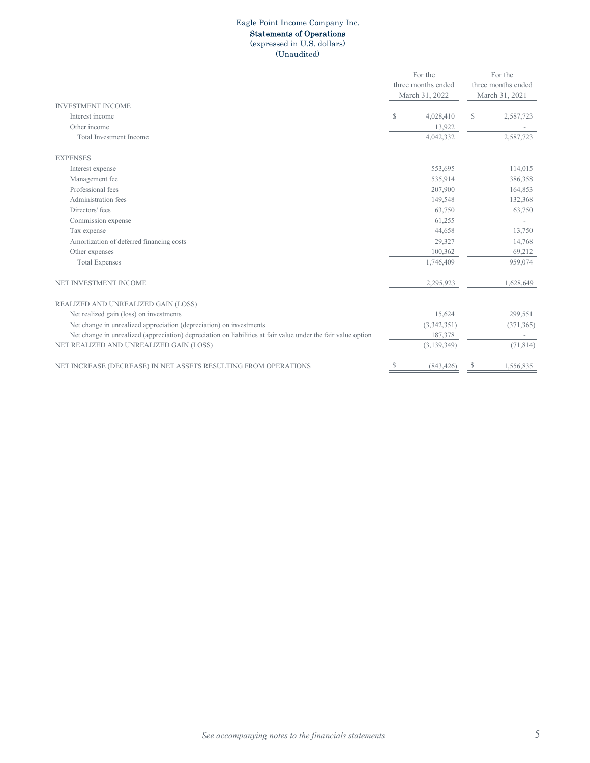#### Eagle Point Income Company Inc. Statements of Operations (expressed in U.S. dollars)

(Unaudited)

|                                                                                                               |   | For the            |                | For the            |
|---------------------------------------------------------------------------------------------------------------|---|--------------------|----------------|--------------------|
|                                                                                                               |   | three months ended |                | three months ended |
|                                                                                                               |   | March 31, 2022     | March 31, 2021 |                    |
| <b>INVESTMENT INCOME</b>                                                                                      |   |                    |                |                    |
| Interest income                                                                                               | S | 4,028,410          | $\mathbb{S}$   | 2,587,723          |
| Other income                                                                                                  |   | 13,922             |                |                    |
| Total Investment Income                                                                                       |   | 4,042,332          |                | 2,587,723          |
| <b>EXPENSES</b>                                                                                               |   |                    |                |                    |
| Interest expense                                                                                              |   | 553,695            |                | 114,015            |
| Management fee                                                                                                |   | 535,914            |                | 386,358            |
| Professional fees                                                                                             |   | 207,900            |                | 164,853            |
| Administration fees                                                                                           |   | 149,548            |                | 132,368            |
| Directors' fees                                                                                               |   | 63,750             |                | 63,750             |
| Commission expense                                                                                            |   | 61,255             |                |                    |
| Tax expense                                                                                                   |   | 44,658             |                | 13,750             |
| Amortization of deferred financing costs                                                                      |   | 29,327             |                | 14,768             |
| Other expenses                                                                                                |   | 100,362            |                | 69,212             |
| <b>Total Expenses</b>                                                                                         |   | 1,746,409          |                | 959,074            |
| NET INVESTMENT INCOME                                                                                         |   | 2,295,923          |                | 1,628,649          |
| REALIZED AND UNREALIZED GAIN (LOSS)                                                                           |   |                    |                |                    |
| Net realized gain (loss) on investments                                                                       |   | 15,624             |                | 299,551            |
| Net change in unrealized appreciation (depreciation) on investments                                           |   | (3,342,351)        |                | (371, 365)         |
| Net change in unrealized (appreciation) depreciation on liabilities at fair value under the fair value option |   | 187,378            |                |                    |
| NET REALIZED AND UNREALIZED GAIN (LOSS)                                                                       |   | (3, 139, 349)      |                | (71, 814)          |
| NET INCREASE (DECREASE) IN NET ASSETS RESULTING FROM OPERATIONS                                               | S | (843, 426)         | S              | 1,556,835          |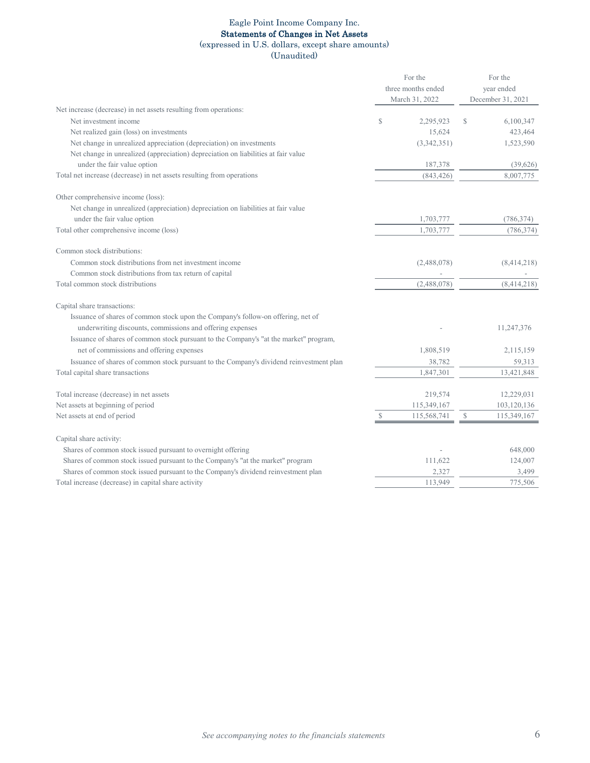### Eagle Point Income Company Inc. Statements of Changes in Net Assets

# (expressed in U.S. dollars, except share amounts)

(Unaudited)

|                                                                                                                  |               | For the<br>three months ended<br>March 31, 2022 | For the<br>year ended<br>December 31, 2021 |                       |  |
|------------------------------------------------------------------------------------------------------------------|---------------|-------------------------------------------------|--------------------------------------------|-----------------------|--|
| Net increase (decrease) in net assets resulting from operations:                                                 |               |                                                 |                                            |                       |  |
| Net investment income                                                                                            | S             | 2,295,923                                       | S                                          | 6,100,347             |  |
| Net realized gain (loss) on investments                                                                          |               | 15,624                                          |                                            | 423,464               |  |
| Net change in unrealized appreciation (depreciation) on investments                                              |               | (3,342,351)                                     |                                            | 1,523,590             |  |
| Net change in unrealized (appreciation) depreciation on liabilities at fair value<br>under the fair value option |               |                                                 |                                            |                       |  |
| Total net increase (decrease) in net assets resulting from operations                                            |               | 187,378<br>(843, 426)                           |                                            | (39,626)<br>8,007,775 |  |
|                                                                                                                  |               |                                                 |                                            |                       |  |
| Other comprehensive income (loss):                                                                               |               |                                                 |                                            |                       |  |
| Net change in unrealized (appreciation) depreciation on liabilities at fair value                                |               |                                                 |                                            |                       |  |
| under the fair value option                                                                                      |               | 1,703,777                                       |                                            | (786, 374)            |  |
| Total other comprehensive income (loss)                                                                          |               | 1,703,777                                       |                                            | (786, 374)            |  |
| Common stock distributions:                                                                                      |               |                                                 |                                            |                       |  |
| Common stock distributions from net investment income                                                            |               | (2,488,078)                                     |                                            | (8,414,218)           |  |
| Common stock distributions from tax return of capital                                                            |               |                                                 |                                            |                       |  |
| Total common stock distributions                                                                                 |               | (2,488,078)                                     |                                            | (8,414,218)           |  |
| Capital share transactions:                                                                                      |               |                                                 |                                            |                       |  |
| Issuance of shares of common stock upon the Company's follow-on offering, net of                                 |               |                                                 |                                            |                       |  |
| underwriting discounts, commissions and offering expenses                                                        |               |                                                 |                                            | 11,247,376            |  |
| Issuance of shares of common stock pursuant to the Company's "at the market" program,                            |               |                                                 |                                            |                       |  |
| net of commissions and offering expenses                                                                         |               | 1,808,519                                       |                                            | 2,115,159             |  |
| Issuance of shares of common stock pursuant to the Company's dividend reinvestment plan                          |               | 38,782                                          |                                            | 59,313                |  |
| Total capital share transactions                                                                                 |               | 1,847,301                                       |                                            | 13,421,848            |  |
|                                                                                                                  |               |                                                 |                                            |                       |  |
| Total increase (decrease) in net assets                                                                          |               | 219,574                                         |                                            | 12,229,031            |  |
| Net assets at beginning of period                                                                                |               | 115,349,167                                     |                                            | 103,120,136           |  |
| Net assets at end of period                                                                                      | $\mathcal{S}$ | 115,568,741                                     | $\mathcal{S}$                              | 115,349,167           |  |
| Capital share activity:                                                                                          |               |                                                 |                                            |                       |  |
| Shares of common stock issued pursuant to overnight offering                                                     |               |                                                 |                                            | 648,000               |  |
| Shares of common stock issued pursuant to the Company's "at the market" program                                  |               | 111,622                                         |                                            | 124,007               |  |
| Shares of common stock issued pursuant to the Company's dividend reinvestment plan                               |               | 2,327                                           |                                            | 3,499                 |  |
| Total increase (decrease) in capital share activity                                                              |               | 113,949                                         |                                            | 775,506               |  |
|                                                                                                                  |               |                                                 |                                            |                       |  |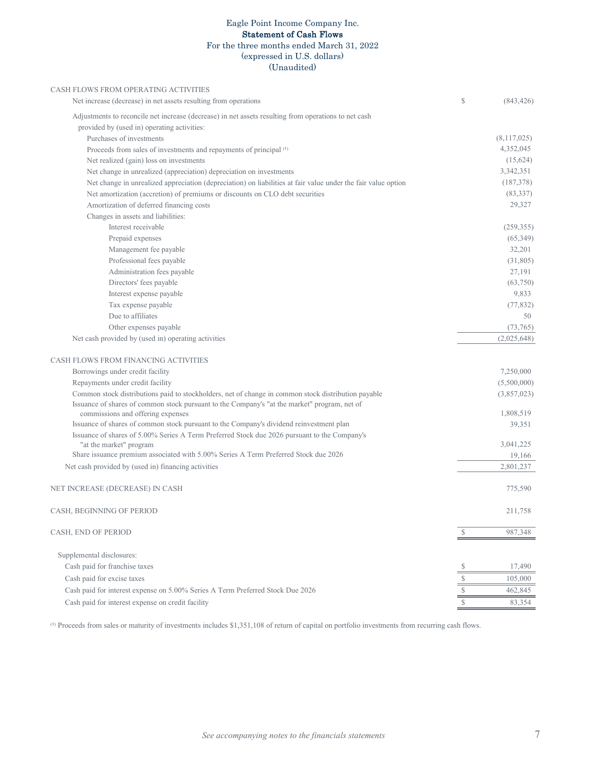### Eagle Point Income Company Inc. Statement of Cash Flows For the three months ended March 31, 2022 (expressed in U.S. dollars)

# (Unaudited)

| CASH FLOWS FROM OPERATING ACTIVITIES                                                                                              |           |             |
|-----------------------------------------------------------------------------------------------------------------------------------|-----------|-------------|
| Net increase (decrease) in net assets resulting from operations                                                                   | S         | (843, 426)  |
| Adjustments to reconcile net increase (decrease) in net assets resulting from operations to net cash                              |           |             |
| provided by (used in) operating activities:                                                                                       |           |             |
| Purchases of investments                                                                                                          |           | (8,117,025) |
| Proceeds from sales of investments and repayments of principal (1)                                                                |           | 4,352,045   |
| Net realized (gain) loss on investments                                                                                           |           | (15, 624)   |
| Net change in unrealized (appreciation) depreciation on investments                                                               |           | 3,342,351   |
| Net change in unrealized appreciation (depreciation) on liabilities at fair value under the fair value option                     |           | (187,378)   |
| Net amortization (accretion) of premiums or discounts on CLO debt securities                                                      |           | (83, 337)   |
| Amortization of deferred financing costs                                                                                          |           | 29,327      |
| Changes in assets and liabilities:                                                                                                |           |             |
| Interest receivable                                                                                                               |           | (259, 355)  |
| Prepaid expenses                                                                                                                  |           | (65,349)    |
| Management fee payable                                                                                                            |           | 32,201      |
| Professional fees payable                                                                                                         |           | (31,805)    |
| Administration fees payable                                                                                                       |           | 27,191      |
| Directors' fees payable                                                                                                           |           | (63,750)    |
| Interest expense payable                                                                                                          |           | 9,833       |
| Tax expense payable                                                                                                               |           | (77, 832)   |
| Due to affiliates                                                                                                                 |           | 50          |
| Other expenses payable                                                                                                            |           | (73, 765)   |
| Net cash provided by (used in) operating activities                                                                               |           | (2,025,648) |
| CASH FLOWS FROM FINANCING ACTIVITIES                                                                                              |           |             |
| Borrowings under credit facility                                                                                                  |           | 7,250,000   |
| Repayments under credit facility                                                                                                  |           | (5,500,000) |
| Common stock distributions paid to stockholders, net of change in common stock distribution payable                               |           | (3,857,023) |
| Issuance of shares of common stock pursuant to the Company's "at the market" program, net of<br>commissions and offering expenses |           | 1,808,519   |
| Issuance of shares of common stock pursuant to the Company's dividend reinvestment plan                                           |           | 39,351      |
| Issuance of shares of 5.00% Series A Term Preferred Stock due 2026 pursuant to the Company's                                      |           |             |
| "at the market" program                                                                                                           |           | 3,041,225   |
| Share issuance premium associated with 5.00% Series A Term Preferred Stock due 2026                                               |           | 19,166      |
| Net cash provided by (used in) financing activities                                                                               |           | 2,801,237   |
| NET INCREASE (DECREASE) IN CASH                                                                                                   |           | 775,590     |
| CASH, BEGINNING OF PERIOD                                                                                                         |           | 211,758     |
| CASH, END OF PERIOD                                                                                                               | S         | 987,348     |
| Supplemental disclosures:                                                                                                         |           |             |
| Cash paid for franchise taxes                                                                                                     | S         | 17,490      |
| Cash paid for excise taxes                                                                                                        | $=$<br>\$ | 105,000     |
| Cash paid for interest expense on 5.00% Series A Term Preferred Stock Due 2026                                                    | S         | 462,845     |
|                                                                                                                                   | S         |             |
| Cash paid for interest expense on credit facility                                                                                 |           | 83,354      |

<sup>(1)</sup> Proceeds from sales or maturity of investments includes \$1,351,108 of return of capital on portfolio investments from recurring cash flows.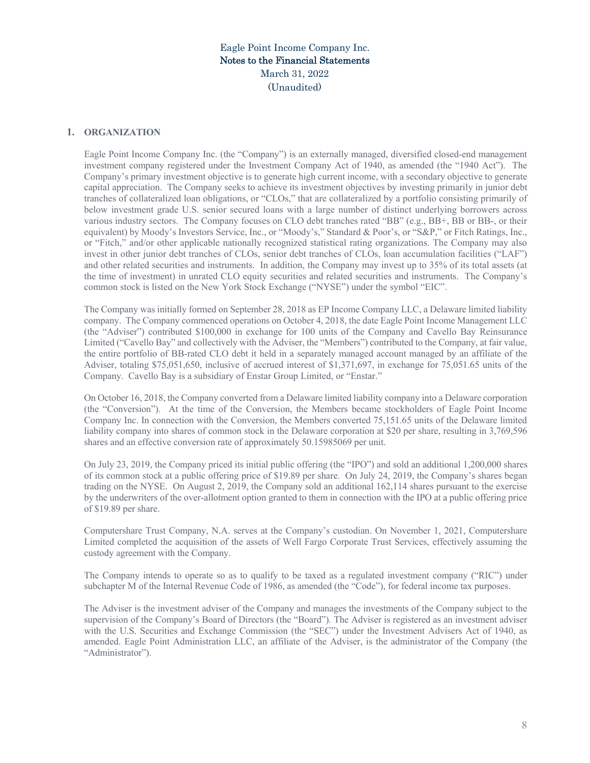### **1. ORGANIZATION**

Eagle Point Income Company Inc. (the "Company") is an externally managed, diversified closed-end management investment company registered under the Investment Company Act of 1940, as amended (the "1940 Act"). The Company's primary investment objective is to generate high current income, with a secondary objective to generate capital appreciation. The Company seeks to achieve its investment objectives by investing primarily in junior debt tranches of collateralized loan obligations, or "CLOs," that are collateralized by a portfolio consisting primarily of below investment grade U.S. senior secured loans with a large number of distinct underlying borrowers across various industry sectors. The Company focuses on CLO debt tranches rated "BB" (e.g., BB+, BB or BB-, or their equivalent) by Moody's Investors Service, Inc., or "Moody's," Standard & Poor's, or "S&P," or Fitch Ratings, Inc., or "Fitch," and/or other applicable nationally recognized statistical rating organizations. The Company may also invest in other junior debt tranches of CLOs, senior debt tranches of CLOs, loan accumulation facilities ("LAF") and other related securities and instruments. In addition, the Company may invest up to 35% of its total assets (at the time of investment) in unrated CLO equity securities and related securities and instruments. The Company's common stock is listed on the New York Stock Exchange ("NYSE") under the symbol "EIC".

The Company was initially formed on September 28, 2018 as EP Income Company LLC, a Delaware limited liability company. The Company commenced operations on October 4, 2018, the date Eagle Point Income Management LLC (the "Adviser") contributed \$100,000 in exchange for 100 units of the Company and Cavello Bay Reinsurance Limited ("Cavello Bay" and collectively with the Adviser, the "Members") contributed to the Company, at fair value, the entire portfolio of BB-rated CLO debt it held in a separately managed account managed by an affiliate of the Adviser, totaling \$75,051,650, inclusive of accrued interest of \$1,371,697, in exchange for 75,051.65 units of the Company. Cavello Bay is a subsidiary of Enstar Group Limited, or "Enstar."

On October 16, 2018, the Company converted from a Delaware limited liability company into a Delaware corporation (the "Conversion"). At the time of the Conversion, the Members became stockholders of Eagle Point Income Company Inc. In connection with the Conversion, the Members converted 75,151.65 units of the Delaware limited liability company into shares of common stock in the Delaware corporation at \$20 per share, resulting in 3,769,596 shares and an effective conversion rate of approximately 50.15985069 per unit.

On July 23, 2019, the Company priced its initial public offering (the "IPO") and sold an additional 1,200,000 shares of its common stock at a public offering price of \$19.89 per share. On July 24, 2019, the Company's shares began trading on the NYSE. On August 2, 2019, the Company sold an additional 162,114 shares pursuant to the exercise by the underwriters of the over-allotment option granted to them in connection with the IPO at a public offering price of \$19.89 per share.

Computershare Trust Company, N.A. serves at the Company's custodian. On November 1, 2021, Computershare Limited completed the acquisition of the assets of Well Fargo Corporate Trust Services, effectively assuming the custody agreement with the Company.

The Company intends to operate so as to qualify to be taxed as a regulated investment company ("RIC") under subchapter M of the Internal Revenue Code of 1986, as amended (the "Code"), for federal income tax purposes.

The Adviser is the investment adviser of the Company and manages the investments of the Company subject to the supervision of the Company's Board of Directors (the "Board"). The Adviser is registered as an investment adviser with the U.S. Securities and Exchange Commission (the "SEC") under the Investment Advisers Act of 1940, as amended. Eagle Point Administration LLC, an affiliate of the Adviser, is the administrator of the Company (the "Administrator").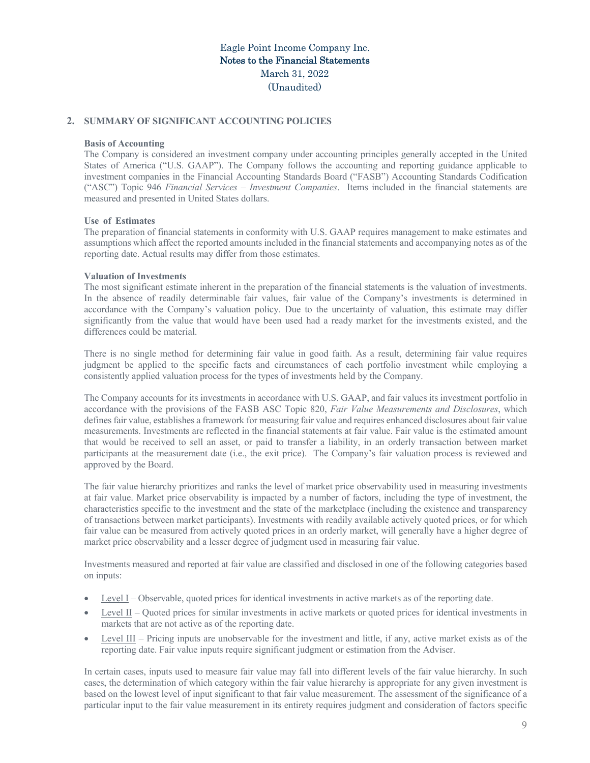### **2. SUMMARY OF SIGNIFICANT ACCOUNTING POLICIES**

### **Basis of Accounting**

The Company is considered an investment company under accounting principles generally accepted in the United States of America ("U.S. GAAP"). The Company follows the accounting and reporting guidance applicable to investment companies in the Financial Accounting Standards Board ("FASB") Accounting Standards Codification ("ASC") Topic 946 *Financial Services – Investment Companies*. Items included in the financial statements are measured and presented in United States dollars.

#### **Use of Estimates**

The preparation of financial statements in conformity with U.S. GAAP requires management to make estimates and assumptions which affect the reported amounts included in the financial statements and accompanying notes as of the reporting date. Actual results may differ from those estimates.

#### **Valuation of Investments**

The most significant estimate inherent in the preparation of the financial statements is the valuation of investments. In the absence of readily determinable fair values, fair value of the Company's investments is determined in accordance with the Company's valuation policy. Due to the uncertainty of valuation, this estimate may differ significantly from the value that would have been used had a ready market for the investments existed, and the differences could be material.

There is no single method for determining fair value in good faith. As a result, determining fair value requires judgment be applied to the specific facts and circumstances of each portfolio investment while employing a consistently applied valuation process for the types of investments held by the Company.

The Company accounts for its investments in accordance with U.S. GAAP, and fair values its investment portfolio in accordance with the provisions of the FASB ASC Topic 820, *Fair Value Measurements and Disclosures*, which defines fair value, establishes a framework for measuring fair value and requires enhanced disclosures about fair value measurements. Investments are reflected in the financial statements at fair value. Fair value is the estimated amount that would be received to sell an asset, or paid to transfer a liability, in an orderly transaction between market participants at the measurement date (i.e., the exit price). The Company's fair valuation process is reviewed and approved by the Board.

The fair value hierarchy prioritizes and ranks the level of market price observability used in measuring investments at fair value. Market price observability is impacted by a number of factors, including the type of investment, the characteristics specific to the investment and the state of the marketplace (including the existence and transparency of transactions between market participants). Investments with readily available actively quoted prices, or for which fair value can be measured from actively quoted prices in an orderly market, will generally have a higher degree of market price observability and a lesser degree of judgment used in measuring fair value.

Investments measured and reported at fair value are classified and disclosed in one of the following categories based on inputs:

- Level I Observable, quoted prices for identical investments in active markets as of the reporting date.
- Level II Quoted prices for similar investments in active markets or quoted prices for identical investments in markets that are not active as of the reporting date.
- Level III Pricing inputs are unobservable for the investment and little, if any, active market exists as of the reporting date. Fair value inputs require significant judgment or estimation from the Adviser.

In certain cases, inputs used to measure fair value may fall into different levels of the fair value hierarchy. In such cases, the determination of which category within the fair value hierarchy is appropriate for any given investment is based on the lowest level of input significant to that fair value measurement. The assessment of the significance of a particular input to the fair value measurement in its entirety requires judgment and consideration of factors specific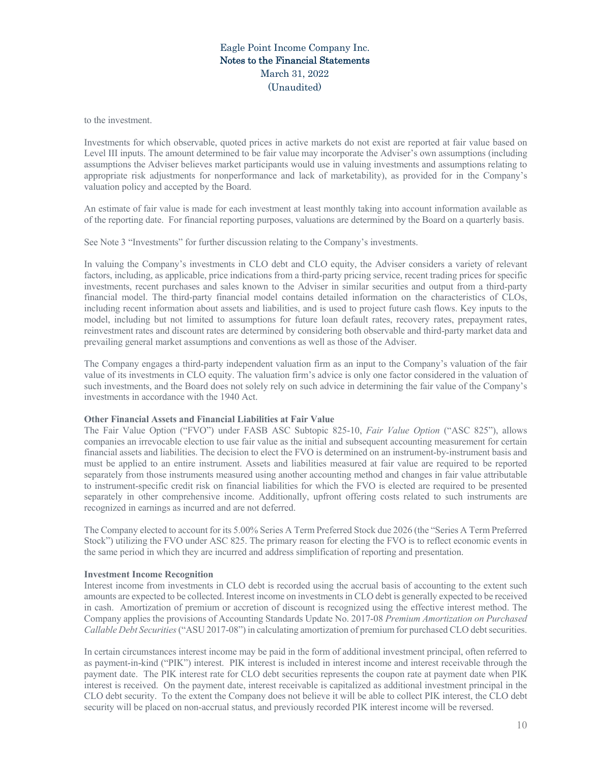to the investment.

Investments for which observable, quoted prices in active markets do not exist are reported at fair value based on Level III inputs. The amount determined to be fair value may incorporate the Adviser's own assumptions (including assumptions the Adviser believes market participants would use in valuing investments and assumptions relating to appropriate risk adjustments for nonperformance and lack of marketability), as provided for in the Company's valuation policy and accepted by the Board.

An estimate of fair value is made for each investment at least monthly taking into account information available as of the reporting date. For financial reporting purposes, valuations are determined by the Board on a quarterly basis.

See Note 3 "Investments" for further discussion relating to the Company's investments.

In valuing the Company's investments in CLO debt and CLO equity, the Adviser considers a variety of relevant factors, including, as applicable, price indications from a third-party pricing service, recent trading prices for specific investments, recent purchases and sales known to the Adviser in similar securities and output from a third-party financial model. The third-party financial model contains detailed information on the characteristics of CLOs, including recent information about assets and liabilities, and is used to project future cash flows. Key inputs to the model, including but not limited to assumptions for future loan default rates, recovery rates, prepayment rates, reinvestment rates and discount rates are determined by considering both observable and third-party market data and prevailing general market assumptions and conventions as well as those of the Adviser.

The Company engages a third-party independent valuation firm as an input to the Company's valuation of the fair value of its investments in CLO equity. The valuation firm's advice is only one factor considered in the valuation of such investments, and the Board does not solely rely on such advice in determining the fair value of the Company's investments in accordance with the 1940 Act.

#### **Other Financial Assets and Financial Liabilities at Fair Value**

The Fair Value Option ("FVO") under FASB ASC Subtopic 825-10, *Fair Value Option* ("ASC 825"), allows companies an irrevocable election to use fair value as the initial and subsequent accounting measurement for certain financial assets and liabilities. The decision to elect the FVO is determined on an instrument-by-instrument basis and must be applied to an entire instrument. Assets and liabilities measured at fair value are required to be reported separately from those instruments measured using another accounting method and changes in fair value attributable to instrument-specific credit risk on financial liabilities for which the FVO is elected are required to be presented separately in other comprehensive income. Additionally, upfront offering costs related to such instruments are recognized in earnings as incurred and are not deferred.

The Company elected to account for its 5.00% Series A Term Preferred Stock due 2026 (the "Series A Term Preferred Stock") utilizing the FVO under ASC 825. The primary reason for electing the FVO is to reflect economic events in the same period in which they are incurred and address simplification of reporting and presentation.

### **Investment Income Recognition**

Interest income from investments in CLO debt is recorded using the accrual basis of accounting to the extent such amounts are expected to be collected. Interest income on investments in CLO debt is generally expected to be received in cash. Amortization of premium or accretion of discount is recognized using the effective interest method. The Company applies the provisions of Accounting Standards Update No. 2017-08 *Premium Amortization on Purchased Callable Debt Securities* ("ASU 2017-08") in calculating amortization of premium for purchased CLO debt securities.

In certain circumstances interest income may be paid in the form of additional investment principal, often referred to as payment-in-kind ("PIK") interest. PIK interest is included in interest income and interest receivable through the payment date. The PIK interest rate for CLO debt securities represents the coupon rate at payment date when PIK interest is received. On the payment date, interest receivable is capitalized as additional investment principal in the CLO debt security. To the extent the Company does not believe it will be able to collect PIK interest, the CLO debt security will be placed on non-accrual status, and previously recorded PIK interest income will be reversed.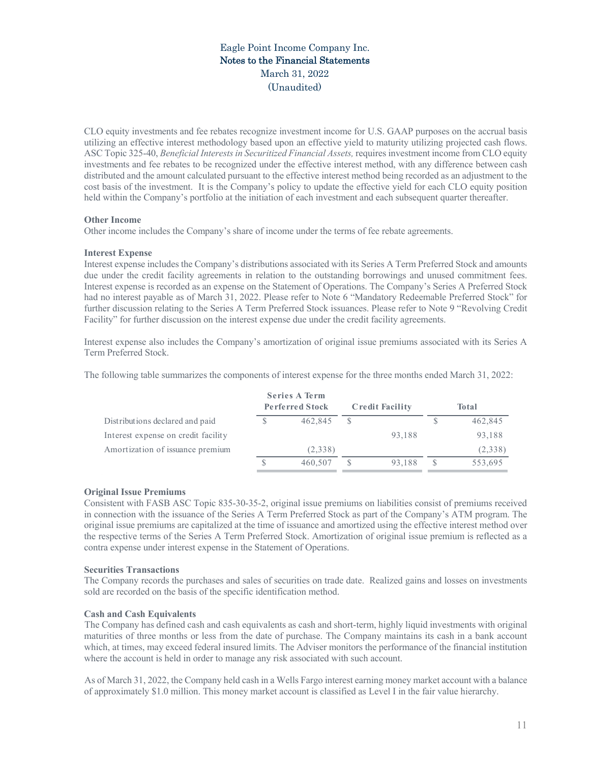CLO equity investments and fee rebates recognize investment income for U.S. GAAP purposes on the accrual basis utilizing an effective interest methodology based upon an effective yield to maturity utilizing projected cash flows. ASC Topic 325-40, *Beneficial Interests in Securitized Financial Assets,* requires investment income from CLO equity investments and fee rebates to be recognized under the effective interest method, with any difference between cash distributed and the amount calculated pursuant to the effective interest method being recorded as an adjustment to the cost basis of the investment. It is the Company's policy to update the effective yield for each CLO equity position held within the Company's portfolio at the initiation of each investment and each subsequent quarter thereafter.

### **Other Income**

Other income includes the Company's share of income under the terms of fee rebate agreements.

### **Interest Expense**

Interest expense includes the Company's distributions associated with its Series A Term Preferred Stock and amounts due under the credit facility agreements in relation to the outstanding borrowings and unused commitment fees. Interest expense is recorded as an expense on the Statement of Operations. The Company's Series A Preferred Stock had no interest payable as of March 31, 2022. Please refer to Note 6 "Mandatory Redeemable Preferred Stock" for further discussion relating to the Series A Term Preferred Stock issuances. Please refer to Note 9 "Revolving Credit Facility" for further discussion on the interest expense due under the credit facility agreements.

Interest expense also includes the Company's amortization of original issue premiums associated with its Series A Term Preferred Stock.

The following table summarizes the components of interest expense for the three months ended March 31, 2022:

|                                     | <b>Series A Term</b><br><b>Perferred Stock</b> |         | <b>Credit Facility</b> | <b>Total</b> |
|-------------------------------------|------------------------------------------------|---------|------------------------|--------------|
| Distributions declared and paid     |                                                | 462,845 |                        | 462,845      |
| Interest expense on credit facility |                                                |         | 93.188                 | 93,188       |
| Amortization of issuance premium    |                                                | (2,338) |                        | (2,338)      |
|                                     |                                                | 460,507 | 93.188                 | 553,695      |

# **Original Issue Premiums**

Consistent with FASB ASC Topic 835-30-35-2, original issue premiums on liabilities consist of premiums received in connection with the issuance of the Series A Term Preferred Stock as part of the Company's ATM program. The original issue premiums are capitalized at the time of issuance and amortized using the effective interest method over the respective terms of the Series A Term Preferred Stock. Amortization of original issue premium is reflected as a contra expense under interest expense in the Statement of Operations.

### **Securities Transactions**

The Company records the purchases and sales of securities on trade date. Realized gains and losses on investments sold are recorded on the basis of the specific identification method.

# **Cash and Cash Equivalents**

The Company has defined cash and cash equivalents as cash and short-term, highly liquid investments with original maturities of three months or less from the date of purchase. The Company maintains its cash in a bank account which, at times, may exceed federal insured limits. The Adviser monitors the performance of the financial institution where the account is held in order to manage any risk associated with such account.

As of March 31, 2022, the Company held cash in a Wells Fargo interest earning money market account with a balance of approximately \$1.0 million. This money market account is classified as Level I in the fair value hierarchy.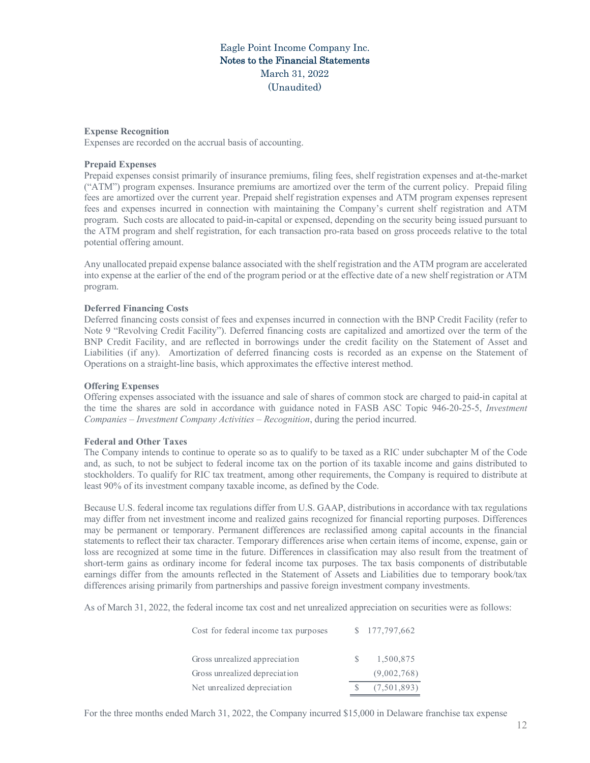#### **Expense Recognition**

Expenses are recorded on the accrual basis of accounting.

#### **Prepaid Expenses**

Prepaid expenses consist primarily of insurance premiums, filing fees, shelf registration expenses and at-the-market ("ATM") program expenses. Insurance premiums are amortized over the term of the current policy. Prepaid filing fees are amortized over the current year. Prepaid shelf registration expenses and ATM program expenses represent fees and expenses incurred in connection with maintaining the Company's current shelf registration and ATM program. Such costs are allocated to paid-in-capital or expensed, depending on the security being issued pursuant to the ATM program and shelf registration, for each transaction pro-rata based on gross proceeds relative to the total potential offering amount.

Any unallocated prepaid expense balance associated with the shelf registration and the ATM program are accelerated into expense at the earlier of the end of the program period or at the effective date of a new shelf registration or ATM program.

#### **Deferred Financing Costs**

Deferred financing costs consist of fees and expenses incurred in connection with the BNP Credit Facility (refer to Note 9 "Revolving Credit Facility"). Deferred financing costs are capitalized and amortized over the term of the BNP Credit Facility, and are reflected in borrowings under the credit facility on the Statement of Asset and Liabilities (if any). Amortization of deferred financing costs is recorded as an expense on the Statement of Operations on a straight-line basis, which approximates the effective interest method.

#### **Offering Expenses**

Offering expenses associated with the issuance and sale of shares of common stock are charged to paid-in capital at the time the shares are sold in accordance with guidance noted in FASB ASC Topic 946-20-25-5, *Investment Companies – Investment Company Activities – Recognition*, during the period incurred.

#### **Federal and Other Taxes**

The Company intends to continue to operate so as to qualify to be taxed as a RIC under subchapter M of the Code and, as such, to not be subject to federal income tax on the portion of its taxable income and gains distributed to stockholders. To qualify for RIC tax treatment, among other requirements, the Company is required to distribute at least 90% of its investment company taxable income, as defined by the Code.

Because U.S. federal income tax regulations differ from U.S. GAAP, distributions in accordance with tax regulations may differ from net investment income and realized gains recognized for financial reporting purposes. Differences may be permanent or temporary. Permanent differences are reclassified among capital accounts in the financial statements to reflect their tax character. Temporary differences arise when certain items of income, expense, gain or loss are recognized at some time in the future. Differences in classification may also result from the treatment of short-term gains as ordinary income for federal income tax purposes. The tax basis components of distributable earnings differ from the amounts reflected in the Statement of Assets and Liabilities due to temporary book/tax differences arising primarily from partnerships and passive foreign investment company investments.

As of March 31, 2022, the federal income tax cost and net unrealized appreciation on securities were as follows:

| Cost for federal income tax purposes | \$177,797,662 |
|--------------------------------------|---------------|
| Gross unrealized appreciation        | 1,500,875     |
| Gross unrealized depreciation        | (9,002,768)   |
| Net unrealized depreciation          | (7,501,893)   |

For the three months ended March 31, 2022, the Company incurred \$15,000 in Delaware franchise tax expense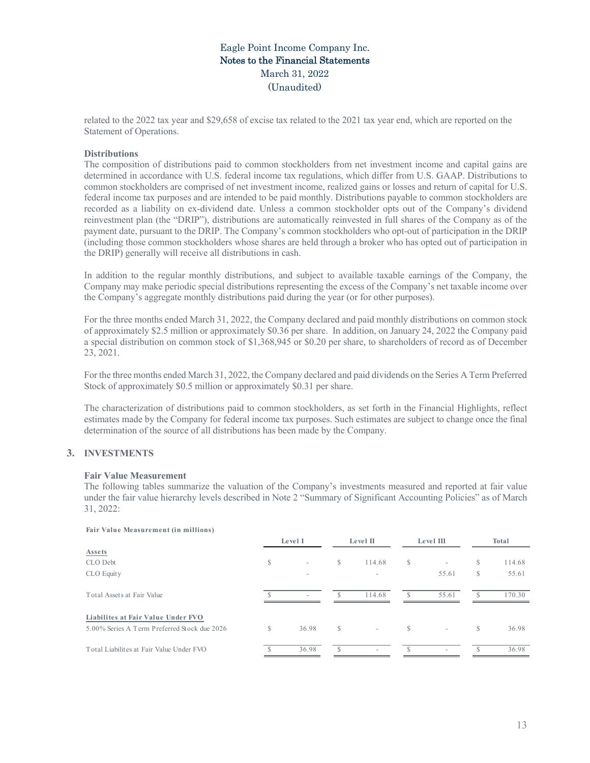related to the 2022 tax year and \$29,658 of excise tax related to the 2021 tax year end, which are reported on the Statement of Operations.

### **Distributions**

The composition of distributions paid to common stockholders from net investment income and capital gains are determined in accordance with U.S. federal income tax regulations, which differ from U.S. GAAP. Distributions to common stockholders are comprised of net investment income, realized gains or losses and return of capital for U.S. federal income tax purposes and are intended to be paid monthly. Distributions payable to common stockholders are recorded as a liability on ex-dividend date. Unless a common stockholder opts out of the Company's dividend reinvestment plan (the "DRIP"), distributions are automatically reinvested in full shares of the Company as of the payment date, pursuant to the DRIP. The Company's common stockholders who opt-out of participation in the DRIP (including those common stockholders whose shares are held through a broker who has opted out of participation in the DRIP) generally will receive all distributions in cash.

In addition to the regular monthly distributions, and subject to available taxable earnings of the Company, the Company may make periodic special distributions representing the excess of the Company's net taxable income over the Company's aggregate monthly distributions paid during the year (or for other purposes).

For the three months ended March 31, 2022, the Company declared and paid monthly distributions on common stock of approximately \$2.5 million or approximately \$0.36 per share. In addition, on January 24, 2022 the Company paid a special distribution on common stock of \$1,368,945 or \$0.20 per share, to shareholders of record as of December 23, 2021.

For the three months ended March 31, 2022, the Company declared and paid dividends on the Series A Term Preferred Stock of approximately \$0.5 million or approximately \$0.31 per share.

The characterization of distributions paid to common stockholders, as set forth in the Financial Highlights, reflect estimates made by the Company for federal income tax purposes. Such estimates are subject to change once the final determination of the source of all distributions has been made by the Company.

# **3. INVESTMENTS**

### **Fair Value Measurement**

The following tables summarize the valuation of the Company's investments measured and reported at fair value under the fair value hierarchy levels described in Note 2 "Summary of Significant Accounting Policies" as of March 31, 2022:

#### **Fair Value Measurement (in millions)**

|                                              | Level I |                          | Level II      |                          | Level III |                          | <b>Total</b> |        |
|----------------------------------------------|---------|--------------------------|---------------|--------------------------|-----------|--------------------------|--------------|--------|
| Assets                                       |         |                          |               |                          |           |                          |              |        |
| CLO Debt                                     | S       | $\overline{\phantom{a}}$ | $\mathcal{S}$ | 114.68                   | S         | $\overline{\phantom{a}}$ | \$           | 114.68 |
| CLO Equity                                   |         |                          |               |                          |           | 55.61                    | \$           | 55.61  |
| Total Assets at Fair Value                   |         |                          |               | 114.68                   | Ъ         | 55.61                    | -S           | 170.30 |
| Liabilites at Fair Value Under FVO           |         |                          |               |                          |           |                          |              |        |
| 5.00% Series A Term Preferred Stock due 2026 | S       | 36.98                    | S             | $\sim$                   | S         | $\overline{\phantom{a}}$ | \$           | 36.98  |
| Total Liabilites at Fair Value Under FVO     |         | 36.98                    | $\mathcal{S}$ | $\overline{\phantom{a}}$ |           | $\overline{\phantom{a}}$ | \$           | 36.98  |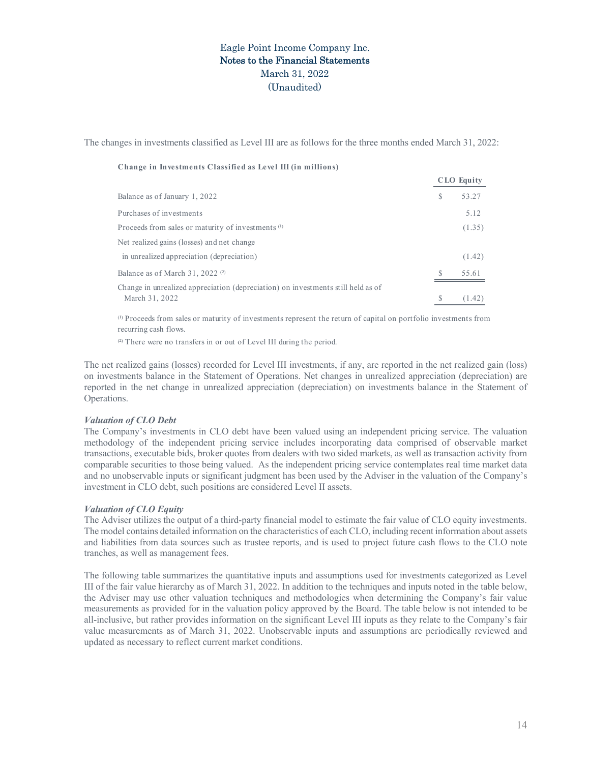The changes in investments classified as Level III are as follows for the three months ended March 31, 2022:

| Change in Investments Classified as Level III (in millions) |  |  |  |
|-------------------------------------------------------------|--|--|--|
|-------------------------------------------------------------|--|--|--|

|   | <b>ULU LYUIT</b> |
|---|------------------|
| S | 53.27            |
|   | 5.12             |
|   | (1.35)           |
|   |                  |
|   | (1.42)           |
| S | 55.61            |
|   |                  |
|   | (1.42)           |
|   |                  |

**CLO Equity**

⁽¹⁾ Proceeds from sales or maturity of investments represent the return of capital on portfolio investments from recurring cash flows.

<sup>(2)</sup> There were no transfers in or out of Level III during the period.

The net realized gains (losses) recorded for Level III investments, if any, are reported in the net realized gain (loss) on investments balance in the Statement of Operations. Net changes in unrealized appreciation (depreciation) are reported in the net change in unrealized appreciation (depreciation) on investments balance in the Statement of Operations.

#### *Valuation of CLO Debt*

The Company's investments in CLO debt have been valued using an independent pricing service. The valuation methodology of the independent pricing service includes incorporating data comprised of observable market transactions, executable bids, broker quotes from dealers with two sided markets, as well as transaction activity from comparable securities to those being valued. As the independent pricing service contemplates real time market data and no unobservable inputs or significant judgment has been used by the Adviser in the valuation of the Company's investment in CLO debt, such positions are considered Level II assets.

### *Valuation of CLO Equity*

The Adviser utilizes the output of a third-party financial model to estimate the fair value of CLO equity investments. The model contains detailed information on the characteristics of each CLO, including recent information about assets and liabilities from data sources such as trustee reports, and is used to project future cash flows to the CLO note tranches, as well as management fees.

The following table summarizes the quantitative inputs and assumptions used for investments categorized as Level III of the fair value hierarchy as of March 31, 2022. In addition to the techniques and inputs noted in the table below, the Adviser may use other valuation techniques and methodologies when determining the Company's fair value measurements as provided for in the valuation policy approved by the Board. The table below is not intended to be all-inclusive, but rather provides information on the significant Level III inputs as they relate to the Company's fair value measurements as of March 31, 2022. Unobservable inputs and assumptions are periodically reviewed and updated as necessary to reflect current market conditions.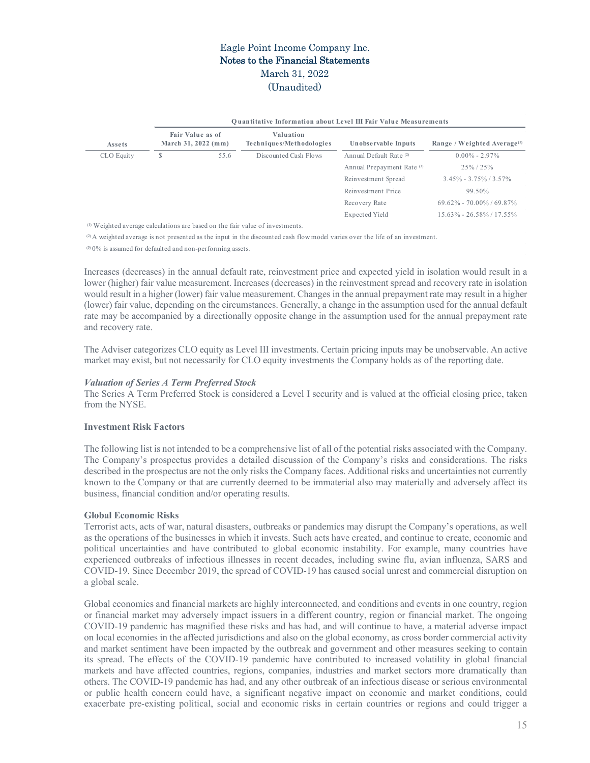|                                                                                          |                                                |  |                                                                                                                               | <b>Quantitative Information about Level III Fair Value Measurements</b> |                                         |  |  |  |  |  |
|------------------------------------------------------------------------------------------|------------------------------------------------|--|-------------------------------------------------------------------------------------------------------------------------------|-------------------------------------------------------------------------|-----------------------------------------|--|--|--|--|--|
| Assets                                                                                   | <b>Fair Value as of</b><br>March 31, 2022 (mm) |  | Valuation<br>Techniques/Methodologies                                                                                         | Unobservable Inputs                                                     | Range / Weighted Average <sup>(1)</sup> |  |  |  |  |  |
| CLO Equity                                                                               | S<br>55.6                                      |  | Discounted Cash Flows                                                                                                         | Annual Default Rate <sup>(2)</sup>                                      | $0.00\% - 2.97\%$                       |  |  |  |  |  |
|                                                                                          |                                                |  |                                                                                                                               | Annual Prepayment Rate <sup>(3)</sup>                                   | $25\% / 25\%$                           |  |  |  |  |  |
|                                                                                          |                                                |  |                                                                                                                               | Reinvestment Spread                                                     | $3.45\% - 3.75\% / 3.57\%$              |  |  |  |  |  |
|                                                                                          |                                                |  |                                                                                                                               | Reinvestment Price                                                      | 99.50%                                  |  |  |  |  |  |
|                                                                                          |                                                |  |                                                                                                                               | Recovery Rate                                                           | $69.62\% - 70.00\% / 69.87\%$           |  |  |  |  |  |
|                                                                                          |                                                |  |                                                                                                                               | Expected Yield                                                          | $15.63\% - 26.58\% / 17.55\%$           |  |  |  |  |  |
| <sup>(1)</sup> Weighted average calculations are based on the fair value of investments. |                                                |  |                                                                                                                               |                                                                         |                                         |  |  |  |  |  |
|                                                                                          |                                                |  | (2) A weighted average is not presented as the input in the discounted cash flow model varies over the life of an investment. |                                                                         |                                         |  |  |  |  |  |

 $^{(3)}$  0% is assumed for defaulted and non-performing assets.

Increases (decreases) in the annual default rate, reinvestment price and expected yield in isolation would result in a lower (higher) fair value measurement. Increases (decreases) in the reinvestment spread and recovery rate in isolation would result in a higher (lower) fair value measurement. Changes in the annual prepayment rate may result in a higher (lower) fair value, depending on the circumstances. Generally, a change in the assumption used for the annual default rate may be accompanied by a directionally opposite change in the assumption used for the annual prepayment rate and recovery rate.

The Adviser categorizes CLO equity as Level III investments. Certain pricing inputs may be unobservable. An active market may exist, but not necessarily for CLO equity investments the Company holds as of the reporting date.

### *Valuation of Series A Term Preferred Stock*

The Series A Term Preferred Stock is considered a Level I security and is valued at the official closing price, taken from the NYSE.

# **Investment Risk Factors**

The following list is not intended to be a comprehensive list of all of the potential risks associated with the Company. The Company's prospectus provides a detailed discussion of the Company's risks and considerations. The risks described in the prospectus are not the only risks the Company faces. Additional risks and uncertainties not currently known to the Company or that are currently deemed to be immaterial also may materially and adversely affect its business, financial condition and/or operating results.

# **Global Economic Risks**

Terrorist acts, acts of war, natural disasters, outbreaks or pandemics may disrupt the Company's operations, as well as the operations of the businesses in which it invests. Such acts have created, and continue to create, economic and political uncertainties and have contributed to global economic instability. For example, many countries have experienced outbreaks of infectious illnesses in recent decades, including swine flu, avian influenza, SARS and COVID-19. Since December 2019, the spread of COVID-19 has caused social unrest and commercial disruption on a global scale.

Global economies and financial markets are highly interconnected, and conditions and events in one country, region or financial market may adversely impact issuers in a different country, region or financial market. The ongoing COVID-19 pandemic has magnified these risks and has had, and will continue to have, a material adverse impact on local economies in the affected jurisdictions and also on the global economy, as cross border commercial activity and market sentiment have been impacted by the outbreak and government and other measures seeking to contain its spread. The effects of the COVID-19 pandemic have contributed to increased volatility in global financial markets and have affected countries, regions, companies, industries and market sectors more dramatically than others. The COVID-19 pandemic has had, and any other outbreak of an infectious disease or serious environmental or public health concern could have, a significant negative impact on economic and market conditions, could exacerbate pre-existing political, social and economic risks in certain countries or regions and could trigger a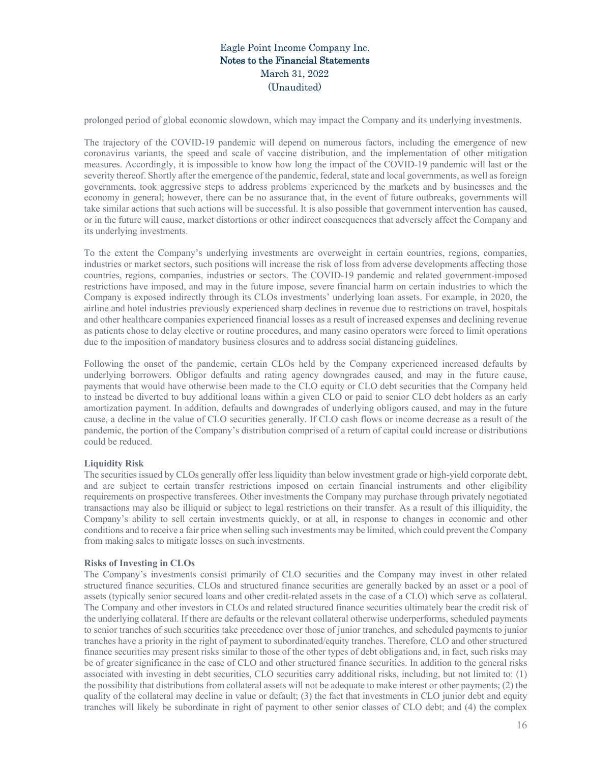prolonged period of global economic slowdown, which may impact the Company and its underlying investments.

The trajectory of the COVID-19 pandemic will depend on numerous factors, including the emergence of new coronavirus variants, the speed and scale of vaccine distribution, and the implementation of other mitigation measures. Accordingly, it is impossible to know how long the impact of the COVID-19 pandemic will last or the severity thereof. Shortly after the emergence of the pandemic, federal, state and local governments, as well as foreign governments, took aggressive steps to address problems experienced by the markets and by businesses and the economy in general; however, there can be no assurance that, in the event of future outbreaks, governments will take similar actions that such actions will be successful. It is also possible that government intervention has caused, or in the future will cause, market distortions or other indirect consequences that adversely affect the Company and its underlying investments.

To the extent the Company's underlying investments are overweight in certain countries, regions, companies, industries or market sectors, such positions will increase the risk of loss from adverse developments affecting those countries, regions, companies, industries or sectors. The COVID-19 pandemic and related government-imposed restrictions have imposed, and may in the future impose, severe financial harm on certain industries to which the Company is exposed indirectly through its CLOs investments' underlying loan assets. For example, in 2020, the airline and hotel industries previously experienced sharp declines in revenue due to restrictions on travel, hospitals and other healthcare companies experienced financial losses as a result of increased expenses and declining revenue as patients chose to delay elective or routine procedures, and many casino operators were forced to limit operations due to the imposition of mandatory business closures and to address social distancing guidelines.

Following the onset of the pandemic, certain CLOs held by the Company experienced increased defaults by underlying borrowers. Obligor defaults and rating agency downgrades caused, and may in the future cause, payments that would have otherwise been made to the CLO equity or CLO debt securities that the Company held to instead be diverted to buy additional loans within a given CLO or paid to senior CLO debt holders as an early amortization payment. In addition, defaults and downgrades of underlying obligors caused, and may in the future cause, a decline in the value of CLO securities generally. If CLO cash flows or income decrease as a result of the pandemic, the portion of the Company's distribution comprised of a return of capital could increase or distributions could be reduced.

# **Liquidity Risk**

The securities issued by CLOs generally offer less liquidity than below investment grade or high-yield corporate debt, and are subject to certain transfer restrictions imposed on certain financial instruments and other eligibility requirements on prospective transferees. Other investments the Company may purchase through privately negotiated transactions may also be illiquid or subject to legal restrictions on their transfer. As a result of this illiquidity, the Company's ability to sell certain investments quickly, or at all, in response to changes in economic and other conditions and to receive a fair price when selling such investments may be limited, which could prevent the Company from making sales to mitigate losses on such investments.

### **Risks of Investing in CLOs**

The Company's investments consist primarily of CLO securities and the Company may invest in other related structured finance securities. CLOs and structured finance securities are generally backed by an asset or a pool of assets (typically senior secured loans and other credit-related assets in the case of a CLO) which serve as collateral. The Company and other investors in CLOs and related structured finance securities ultimately bear the credit risk of the underlying collateral. If there are defaults or the relevant collateral otherwise underperforms, scheduled payments to senior tranches of such securities take precedence over those of junior tranches, and scheduled payments to junior tranches have a priority in the right of payment to subordinated/equity tranches. Therefore, CLO and other structured finance securities may present risks similar to those of the other types of debt obligations and, in fact, such risks may be of greater significance in the case of CLO and other structured finance securities. In addition to the general risks associated with investing in debt securities, CLO securities carry additional risks, including, but not limited to: (1) the possibility that distributions from collateral assets will not be adequate to make interest or other payments; (2) the quality of the collateral may decline in value or default; (3) the fact that investments in CLO junior debt and equity tranches will likely be subordinate in right of payment to other senior classes of CLO debt; and (4) the complex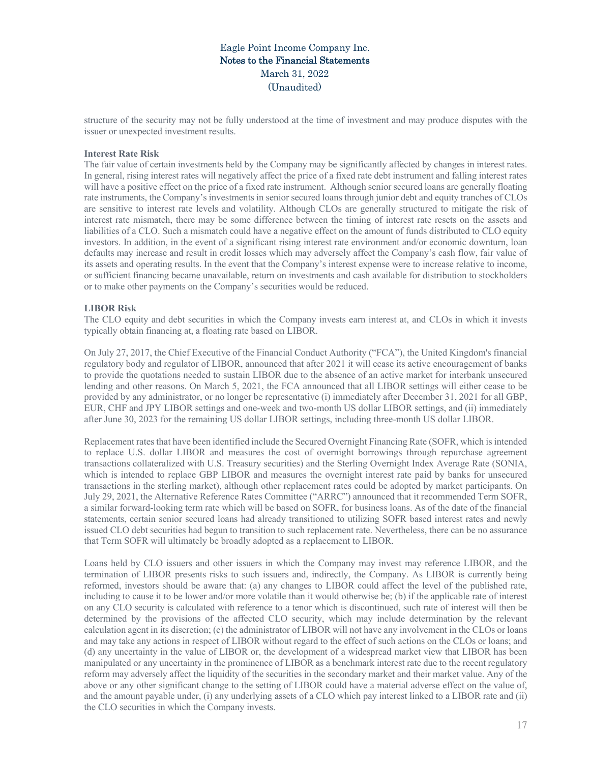structure of the security may not be fully understood at the time of investment and may produce disputes with the issuer or unexpected investment results.

### **Interest Rate Risk**

The fair value of certain investments held by the Company may be significantly affected by changes in interest rates. In general, rising interest rates will negatively affect the price of a fixed rate debt instrument and falling interest rates will have a positive effect on the price of a fixed rate instrument. Although senior secured loans are generally floating rate instruments, the Company's investments in senior secured loans through junior debt and equity tranches of CLOs are sensitive to interest rate levels and volatility. Although CLOs are generally structured to mitigate the risk of interest rate mismatch, there may be some difference between the timing of interest rate resets on the assets and liabilities of a CLO. Such a mismatch could have a negative effect on the amount of funds distributed to CLO equity investors. In addition, in the event of a significant rising interest rate environment and/or economic downturn, loan defaults may increase and result in credit losses which may adversely affect the Company's cash flow, fair value of its assets and operating results. In the event that the Company's interest expense were to increase relative to income, or sufficient financing became unavailable, return on investments and cash available for distribution to stockholders or to make other payments on the Company's securities would be reduced.

#### **LIBOR Risk**

The CLO equity and debt securities in which the Company invests earn interest at, and CLOs in which it invests typically obtain financing at, a floating rate based on LIBOR.

On July 27, 2017, the Chief Executive of the Financial Conduct Authority ("FCA"), the United Kingdom's financial regulatory body and regulator of LIBOR, announced that after 2021 it will cease its active encouragement of banks to provide the quotations needed to sustain LIBOR due to the absence of an active market for interbank unsecured lending and other reasons. On March 5, 2021, the FCA announced that all LIBOR settings will either cease to be provided by any administrator, or no longer be representative (i) immediately after December 31, 2021 for all GBP, EUR, CHF and JPY LIBOR settings and one-week and two-month US dollar LIBOR settings, and (ii) immediately after June 30, 2023 for the remaining US dollar LIBOR settings, including three-month US dollar LIBOR.

Replacement rates that have been identified include the Secured Overnight Financing Rate (SOFR, which is intended to replace U.S. dollar LIBOR and measures the cost of overnight borrowings through repurchase agreement transactions collateralized with U.S. Treasury securities) and the Sterling Overnight Index Average Rate (SONIA, which is intended to replace GBP LIBOR and measures the overnight interest rate paid by banks for unsecured transactions in the sterling market), although other replacement rates could be adopted by market participants. On July 29, 2021, the Alternative Reference Rates Committee ("ARRC") announced that it recommended Term SOFR, a similar forward-looking term rate which will be based on SOFR, for business loans. As of the date of the financial statements, certain senior secured loans had already transitioned to utilizing SOFR based interest rates and newly issued CLO debt securities had begun to transition to such replacement rate. Nevertheless, there can be no assurance that Term SOFR will ultimately be broadly adopted as a replacement to LIBOR.

Loans held by CLO issuers and other issuers in which the Company may invest may reference LIBOR, and the termination of LIBOR presents risks to such issuers and, indirectly, the Company. As LIBOR is currently being reformed, investors should be aware that: (a) any changes to LIBOR could affect the level of the published rate, including to cause it to be lower and/or more volatile than it would otherwise be; (b) if the applicable rate of interest on any CLO security is calculated with reference to a tenor which is discontinued, such rate of interest will then be determined by the provisions of the affected CLO security, which may include determination by the relevant calculation agent in its discretion; (c) the administrator of LIBOR will not have any involvement in the CLOs or loans and may take any actions in respect of LIBOR without regard to the effect of such actions on the CLOs or loans; and (d) any uncertainty in the value of LIBOR or, the development of a widespread market view that LIBOR has been manipulated or any uncertainty in the prominence of LIBOR as a benchmark interest rate due to the recent regulatory reform may adversely affect the liquidity of the securities in the secondary market and their market value. Any of the above or any other significant change to the setting of LIBOR could have a material adverse effect on the value of, and the amount payable under, (i) any underlying assets of a CLO which pay interest linked to a LIBOR rate and (ii) the CLO securities in which the Company invests.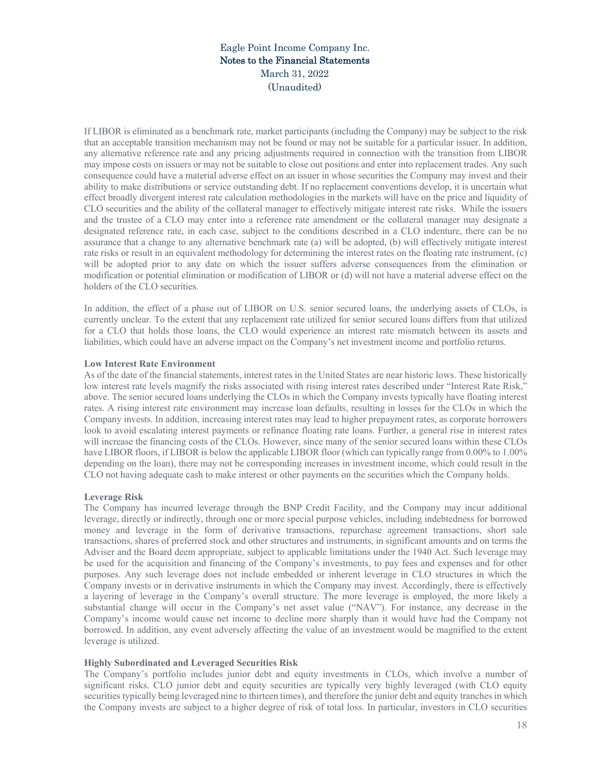If LIBOR is eliminated as a benchmark rate, market participants (including the Company) may be subject to the risk that an acceptable transition mechanism may not be found or may not be suitable for a particular issuer. In addition, any alternative reference rate and any pricing adjustments required in connection with the transition from LIBOR may impose costs on issuers or may not be suitable to close out positions and enter into replacement trades. Any such consequence could have a material adverse effect on an issuer in whose securities the Company may invest and their ability to make distributions or service outstanding debt. If no replacement conventions develop, it is uncertain what effect broadly divergent interest rate calculation methodologies in the markets will have on the price and liquidity of CLO securities and the ability of the collateral manager to effectively mitigate interest rate risks. While the issuers and the trustee of a CLO may enter into a reference rate amendment or the collateral manager may designate a designated reference rate, in each case, subject to the conditions described in a CLO indenture, there can be no assurance that a change to any alternative benchmark rate (a) will be adopted, (b) will effectively mitigate interest rate risks or result in an equivalent methodology for determining the interest rates on the floating rate instrument, (c) will be adopted prior to any date on which the issuer suffers adverse consequences from the elimination or modification or potential elimination or modification of LIBOR or (d) will not have a material adverse effect on the holders of the CLO securities.

In addition, the effect of a phase out of LIBOR on U.S. senior secured loans, the underlying assets of CLOs, is currently unclear. To the extent that any replacement rate utilized for senior secured loans differs from that utilized for a CLO that holds those loans, the CLO would experience an interest rate mismatch between its assets and liabilities, which could have an adverse impact on the Company's net investment income and portfolio returns.

### **Low Interest Rate Environment**

As of the date of the financial statements, interest rates in the United States are near historic lows. These historically low interest rate levels magnify the risks associated with rising interest rates described under "Interest Rate Risk," above. The senior secured loans underlying the CLOs in which the Company invests typically have floating interest rates. A rising interest rate environment may increase loan defaults, resulting in losses for the CLOs in which the Company invests. In addition, increasing interest rates may lead to higher prepayment rates, as corporate borrowers look to avoid escalating interest payments or refinance floating rate loans. Further, a general rise in interest rates will increase the financing costs of the CLOs. However, since many of the senior secured loans within these CLOs have LIBOR floors, if LIBOR is below the applicable LIBOR floor (which can typically range from 0.00% to 1.00% depending on the loan), there may not be corresponding increases in investment income, which could result in the CLO not having adequate cash to make interest or other payments on the securities which the Company holds.

### **Leverage Risk**

The Company has incurred leverage through the BNP Credit Facility, and the Company may incur additional leverage, directly or indirectly, through one or more special purpose vehicles, including indebtedness for borrowed money and leverage in the form of derivative transactions, repurchase agreement transactions, short sale transactions, shares of preferred stock and other structures and instruments, in significant amounts and on terms the Adviser and the Board deem appropriate, subject to applicable limitations under the 1940 Act. Such leverage may be used for the acquisition and financing of the Company's investments, to pay fees and expenses and for other purposes. Any such leverage does not include embedded or inherent leverage in CLO structures in which the Company invests or in derivative instruments in which the Company may invest. Accordingly, there is effectively a layering of leverage in the Company's overall structure. The more leverage is employed, the more likely a substantial change will occur in the Company's net asset value ("NAV"). For instance, any decrease in the Company's income would cause net income to decline more sharply than it would have had the Company not borrowed. In addition, any event adversely affecting the value of an investment would be magnified to the extent leverage is utilized.

### **Highly Subordinated and Leveraged Securities Risk**

The Company's portfolio includes junior debt and equity investments in CLOs, which involve a number of significant risks. CLO junior debt and equity securities are typically very highly leveraged (with CLO equity securities typically being leveraged nine to thirteen times), and therefore the junior debt and equity tranches in which the Company invests are subject to a higher degree of risk of total loss. In particular, investors in CLO securities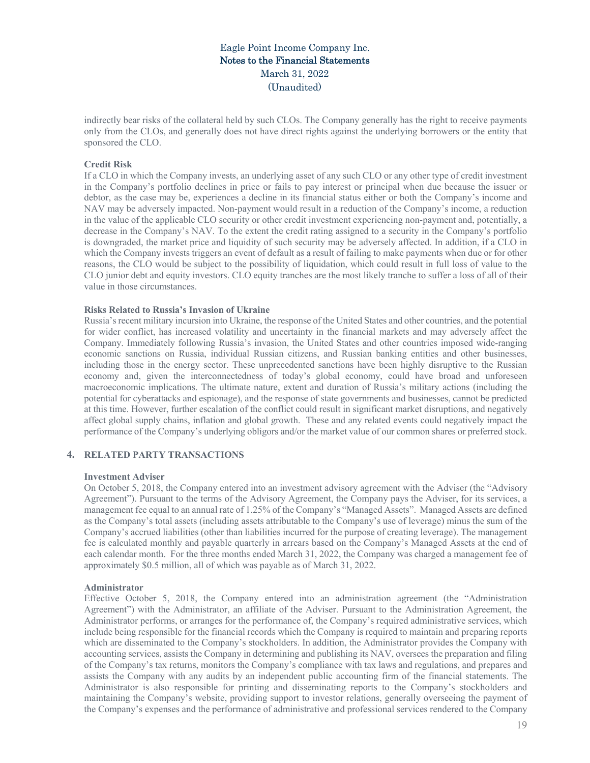indirectly bear risks of the collateral held by such CLOs. The Company generally has the right to receive payments only from the CLOs, and generally does not have direct rights against the underlying borrowers or the entity that sponsored the CLO.

### **Credit Risk**

If a CLO in which the Company invests, an underlying asset of any such CLO or any other type of credit investment in the Company's portfolio declines in price or fails to pay interest or principal when due because the issuer or debtor, as the case may be, experiences a decline in its financial status either or both the Company's income and NAV may be adversely impacted. Non-payment would result in a reduction of the Company's income, a reduction in the value of the applicable CLO security or other credit investment experiencing non-payment and, potentially, a decrease in the Company's NAV. To the extent the credit rating assigned to a security in the Company's portfolio is downgraded, the market price and liquidity of such security may be adversely affected. In addition, if a CLO in which the Company invests triggers an event of default as a result of failing to make payments when due or for other reasons, the CLO would be subject to the possibility of liquidation, which could result in full loss of value to the CLO junior debt and equity investors. CLO equity tranches are the most likely tranche to suffer a loss of all of their value in those circumstances.

### **Risks Related to Russia's Invasion of Ukraine**

Russia's recent military incursion into Ukraine, the response of the United States and other countries, and the potential for wider conflict, has increased volatility and uncertainty in the financial markets and may adversely affect the Company. Immediately following Russia's invasion, the United States and other countries imposed wide-ranging economic sanctions on Russia, individual Russian citizens, and Russian banking entities and other businesses, including those in the energy sector. These unprecedented sanctions have been highly disruptive to the Russian economy and, given the interconnectedness of today's global economy, could have broad and unforeseen macroeconomic implications. The ultimate nature, extent and duration of Russia's military actions (including the potential for cyberattacks and espionage), and the response of state governments and businesses, cannot be predicted at this time. However, further escalation of the conflict could result in significant market disruptions, and negatively affect global supply chains, inflation and global growth. These and any related events could negatively impact the performance of the Company's underlying obligors and/or the market value of our common shares or preferred stock.

### **4. RELATED PARTY TRANSACTIONS**

#### **Investment Adviser**

On October 5, 2018, the Company entered into an investment advisory agreement with the Adviser (the "Advisory Agreement"). Pursuant to the terms of the Advisory Agreement, the Company pays the Adviser, for its services, a management fee equal to an annual rate of 1.25% of the Company's "Managed Assets". Managed Assets are defined as the Company's total assets (including assets attributable to the Company's use of leverage) minus the sum of the Company's accrued liabilities (other than liabilities incurred for the purpose of creating leverage). The management fee is calculated monthly and payable quarterly in arrears based on the Company's Managed Assets at the end of each calendar month. For the three months ended March 31, 2022, the Company was charged a management fee of approximately \$0.5 million, all of which was payable as of March 31, 2022.

#### **Administrator**

Effective October 5, 2018, the Company entered into an administration agreement (the "Administration Agreement") with the Administrator, an affiliate of the Adviser. Pursuant to the Administration Agreement, the Administrator performs, or arranges for the performance of, the Company's required administrative services, which include being responsible for the financial records which the Company is required to maintain and preparing reports which are disseminated to the Company's stockholders. In addition, the Administrator provides the Company with accounting services, assists the Company in determining and publishing its NAV, oversees the preparation and filing of the Company's tax returns, monitors the Company's compliance with tax laws and regulations, and prepares and assists the Company with any audits by an independent public accounting firm of the financial statements. The Administrator is also responsible for printing and disseminating reports to the Company's stockholders and maintaining the Company's website, providing support to investor relations, generally overseeing the payment of the Company's expenses and the performance of administrative and professional services rendered to the Company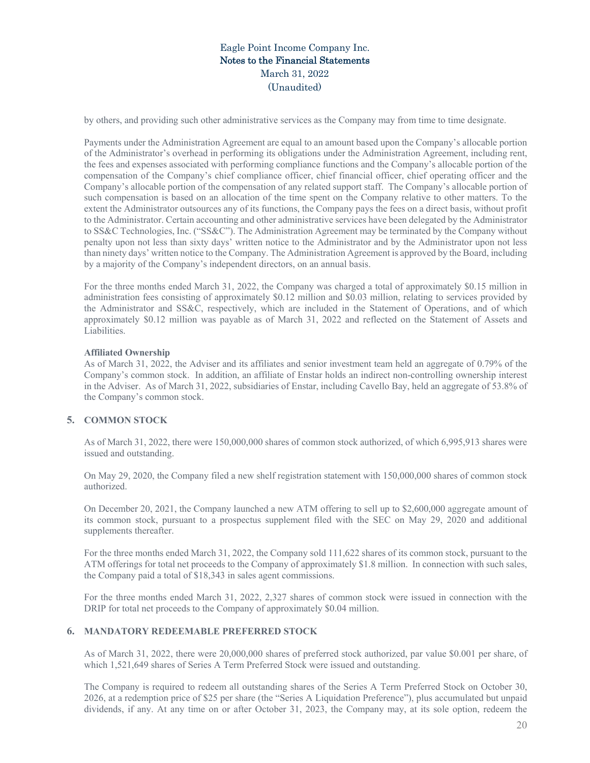by others, and providing such other administrative services as the Company may from time to time designate.

Payments under the Administration Agreement are equal to an amount based upon the Company's allocable portion of the Administrator's overhead in performing its obligations under the Administration Agreement, including rent, the fees and expenses associated with performing compliance functions and the Company's allocable portion of the compensation of the Company's chief compliance officer, chief financial officer, chief operating officer and the Company's allocable portion of the compensation of any related support staff. The Company's allocable portion of such compensation is based on an allocation of the time spent on the Company relative to other matters. To the extent the Administrator outsources any of its functions, the Company pays the fees on a direct basis, without profit to the Administrator. Certain accounting and other administrative services have been delegated by the Administrator to SS&C Technologies, Inc. ("SS&C"). The Administration Agreement may be terminated by the Company without penalty upon not less than sixty days' written notice to the Administrator and by the Administrator upon not less than ninety days' written notice to the Company. The Administration Agreement is approved by the Board, including by a majority of the Company's independent directors, on an annual basis.

For the three months ended March 31, 2022, the Company was charged a total of approximately \$0.15 million in administration fees consisting of approximately \$0.12 million and \$0.03 million, relating to services provided by the Administrator and SS&C, respectively, which are included in the Statement of Operations, and of which approximately \$0.12 million was payable as of March 31, 2022 and reflected on the Statement of Assets and Liabilities.

### **Affiliated Ownership**

As of March 31, 2022, the Adviser and its affiliates and senior investment team held an aggregate of 0.79% of the Company's common stock. In addition, an affiliate of Enstar holds an indirect non-controlling ownership interest in the Adviser. As of March 31, 2022, subsidiaries of Enstar, including Cavello Bay, held an aggregate of 53.8% of the Company's common stock.

# **5. COMMON STOCK**

As of March 31, 2022, there were 150,000,000 shares of common stock authorized, of which 6,995,913 shares were issued and outstanding.

On May 29, 2020, the Company filed a new shelf registration statement with 150,000,000 shares of common stock authorized.

On December 20, 2021, the Company launched a new ATM offering to sell up to \$2,600,000 aggregate amount of its common stock, pursuant to a prospectus supplement filed with the SEC on May 29, 2020 and additional supplements thereafter.

For the three months ended March 31, 2022, the Company sold 111,622 shares of its common stock, pursuant to the ATM offerings for total net proceeds to the Company of approximately \$1.8 million. In connection with such sales, the Company paid a total of \$18,343 in sales agent commissions.

For the three months ended March 31, 2022, 2,327 shares of common stock were issued in connection with the DRIP for total net proceeds to the Company of approximately \$0.04 million.

# **6. MANDATORY REDEEMABLE PREFERRED STOCK**

As of March 31, 2022, there were 20,000,000 shares of preferred stock authorized, par value \$0.001 per share, of which 1,521,649 shares of Series A Term Preferred Stock were issued and outstanding.

The Company is required to redeem all outstanding shares of the Series A Term Preferred Stock on October 30, 2026, at a redemption price of \$25 per share (the "Series A Liquidation Preference"), plus accumulated but unpaid dividends, if any. At any time on or after October 31, 2023, the Company may, at its sole option, redeem the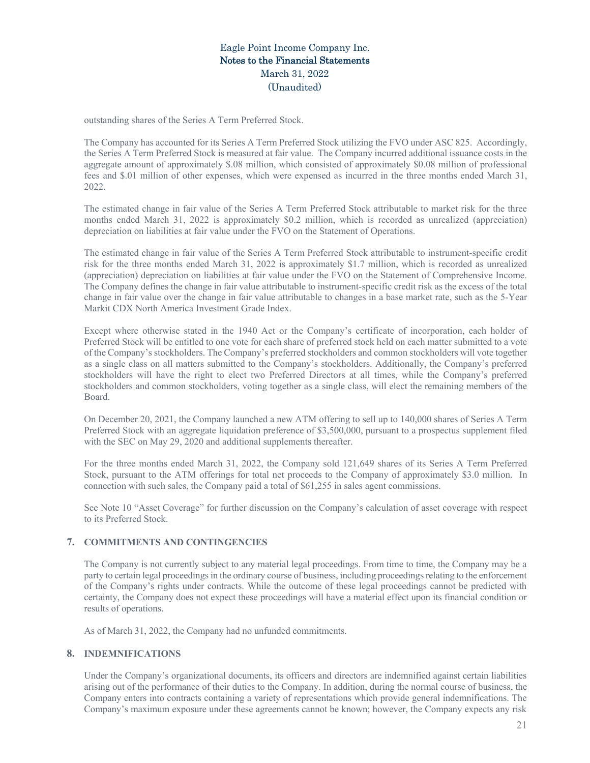outstanding shares of the Series A Term Preferred Stock.

The Company has accounted for its Series A Term Preferred Stock utilizing the FVO under ASC 825. Accordingly, the Series A Term Preferred Stock is measured at fair value. The Company incurred additional issuance costs in the aggregate amount of approximately \$.08 million, which consisted of approximately \$0.08 million of professional fees and \$.01 million of other expenses, which were expensed as incurred in the three months ended March 31, 2022.

The estimated change in fair value of the Series A Term Preferred Stock attributable to market risk for the three months ended March 31, 2022 is approximately \$0.2 million, which is recorded as unrealized (appreciation) depreciation on liabilities at fair value under the FVO on the Statement of Operations.

The estimated change in fair value of the Series A Term Preferred Stock attributable to instrument-specific credit risk for the three months ended March 31, 2022 is approximately \$1.7 million, which is recorded as unrealized (appreciation) depreciation on liabilities at fair value under the FVO on the Statement of Comprehensive Income. The Company defines the change in fair value attributable to instrument-specific credit risk as the excess of the total change in fair value over the change in fair value attributable to changes in a base market rate, such as the 5-Year Markit CDX North America Investment Grade Index.

Except where otherwise stated in the 1940 Act or the Company's certificate of incorporation, each holder of Preferred Stock will be entitled to one vote for each share of preferred stock held on each matter submitted to a vote of the Company's stockholders. The Company's preferred stockholders and common stockholders will vote together as a single class on all matters submitted to the Company's stockholders. Additionally, the Company's preferred stockholders will have the right to elect two Preferred Directors at all times, while the Company's preferred stockholders and common stockholders, voting together as a single class, will elect the remaining members of the Board.

On December 20, 2021, the Company launched a new ATM offering to sell up to 140,000 shares of Series A Term Preferred Stock with an aggregate liquidation preference of \$3,500,000, pursuant to a prospectus supplement filed with the SEC on May 29, 2020 and additional supplements thereafter.

For the three months ended March 31, 2022, the Company sold 121,649 shares of its Series A Term Preferred Stock, pursuant to the ATM offerings for total net proceeds to the Company of approximately \$3.0 million. In connection with such sales, the Company paid a total of \$61,255 in sales agent commissions.

See Note 10 "Asset Coverage" for further discussion on the Company's calculation of asset coverage with respect to its Preferred Stock.

# **7. COMMITMENTS AND CONTINGENCIES**

The Company is not currently subject to any material legal proceedings. From time to time, the Company may be a party to certain legal proceedings in the ordinary course of business, including proceedings relating to the enforcement of the Company's rights under contracts. While the outcome of these legal proceedings cannot be predicted with certainty, the Company does not expect these proceedings will have a material effect upon its financial condition or results of operations.

As of March 31, 2022, the Company had no unfunded commitments.

### **8. INDEMNIFICATIONS**

Under the Company's organizational documents, its officers and directors are indemnified against certain liabilities arising out of the performance of their duties to the Company. In addition, during the normal course of business, the Company enters into contracts containing a variety of representations which provide general indemnifications. The Company's maximum exposure under these agreements cannot be known; however, the Company expects any risk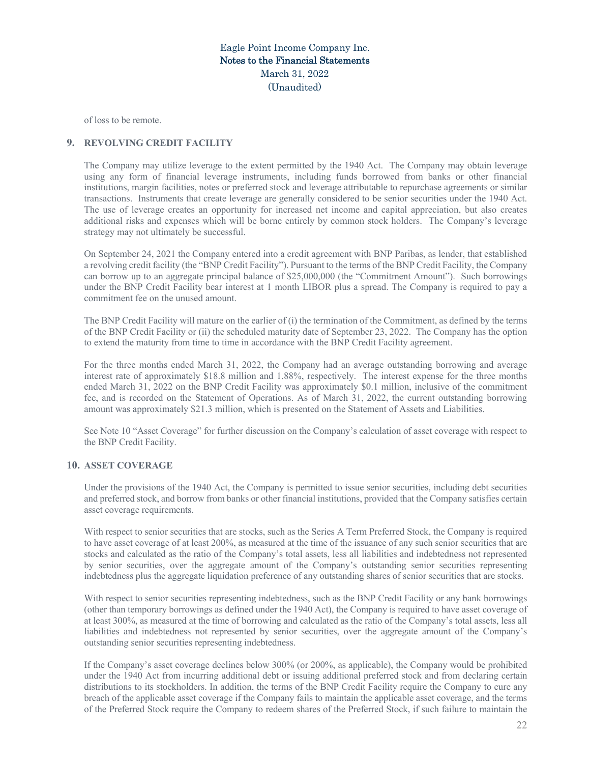of loss to be remote.

# **9. REVOLVING CREDIT FACILITY**

The Company may utilize leverage to the extent permitted by the 1940 Act. The Company may obtain leverage using any form of financial leverage instruments, including funds borrowed from banks or other financial institutions, margin facilities, notes or preferred stock and leverage attributable to repurchase agreements or similar transactions. Instruments that create leverage are generally considered to be senior securities under the 1940 Act. The use of leverage creates an opportunity for increased net income and capital appreciation, but also creates additional risks and expenses which will be borne entirely by common stock holders. The Company's leverage strategy may not ultimately be successful.

On September 24, 2021 the Company entered into a credit agreement with BNP Paribas, as lender, that established a revolving credit facility (the "BNP Credit Facility"). Pursuant to the terms of the BNP Credit Facility, the Company can borrow up to an aggregate principal balance of \$25,000,000 (the "Commitment Amount"). Such borrowings under the BNP Credit Facility bear interest at 1 month LIBOR plus a spread. The Company is required to pay a commitment fee on the unused amount.

The BNP Credit Facility will mature on the earlier of (i) the termination of the Commitment, as defined by the terms of the BNP Credit Facility or (ii) the scheduled maturity date of September 23, 2022. The Company has the option to extend the maturity from time to time in accordance with the BNP Credit Facility agreement.

For the three months ended March 31, 2022, the Company had an average outstanding borrowing and average interest rate of approximately \$18.8 million and 1.88%, respectively. The interest expense for the three months ended March 31, 2022 on the BNP Credit Facility was approximately \$0.1 million, inclusive of the commitment fee, and is recorded on the Statement of Operations. As of March 31, 2022, the current outstanding borrowing amount was approximately \$21.3 million, which is presented on the Statement of Assets and Liabilities.

See Note 10 "Asset Coverage" for further discussion on the Company's calculation of asset coverage with respect to the BNP Credit Facility.

### **10. ASSET COVERAGE**

Under the provisions of the 1940 Act, the Company is permitted to issue senior securities, including debt securities and preferred stock, and borrow from banks or other financial institutions, provided that the Company satisfies certain asset coverage requirements.

With respect to senior securities that are stocks, such as the Series A Term Preferred Stock, the Company is required to have asset coverage of at least 200%, as measured at the time of the issuance of any such senior securities that are stocks and calculated as the ratio of the Company's total assets, less all liabilities and indebtedness not represented by senior securities, over the aggregate amount of the Company's outstanding senior securities representing indebtedness plus the aggregate liquidation preference of any outstanding shares of senior securities that are stocks.

With respect to senior securities representing indebtedness, such as the BNP Credit Facility or any bank borrowings (other than temporary borrowings as defined under the 1940 Act), the Company is required to have asset coverage of at least 300%, as measured at the time of borrowing and calculated as the ratio of the Company's total assets, less all liabilities and indebtedness not represented by senior securities, over the aggregate amount of the Company's outstanding senior securities representing indebtedness.

If the Company's asset coverage declines below 300% (or 200%, as applicable), the Company would be prohibited under the 1940 Act from incurring additional debt or issuing additional preferred stock and from declaring certain distributions to its stockholders. In addition, the terms of the BNP Credit Facility require the Company to cure any breach of the applicable asset coverage if the Company fails to maintain the applicable asset coverage, and the terms of the Preferred Stock require the Company to redeem shares of the Preferred Stock, if such failure to maintain the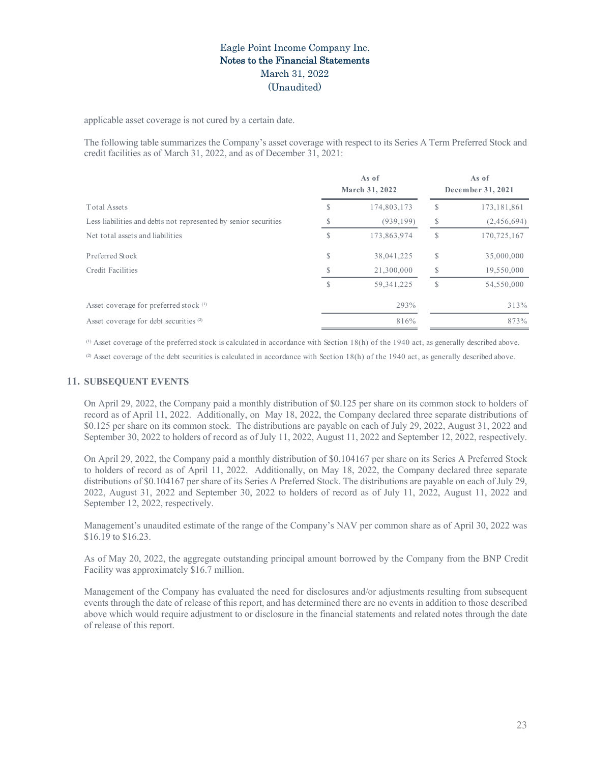applicable asset coverage is not cured by a certain date.

The following table summarizes the Company's asset coverage with respect to its Series A Term Preferred Stock and credit facilities as of March 31, 2022, and as of December 31, 2021:

|                                                                 |   | As of<br>March 31, 2022 |   | As of<br>December 31, 2021 |
|-----------------------------------------------------------------|---|-------------------------|---|----------------------------|
| <b>Total Assets</b>                                             | S | 174,803,173             | S | 173, 181, 861              |
| Less liabilities and debts not represented by senior securities |   | (939, 199)              | S | (2,456,694)                |
| Net total assets and liabilities                                | S | 173,863,974             | S | 170,725,167                |
| Preferred Stock                                                 | S | 38,041,225              | S | 35,000,000                 |
| Credit Facilities                                               | S | 21,300,000              |   | 19,550,000                 |
|                                                                 | S | 59, 341, 225            | S | 54,550,000                 |
| Asset coverage for preferred stock (1)                          |   | 293%                    |   | 313%                       |
| Asset coverage for debt securities <sup>(2)</sup>               |   | 816%                    |   | 873%                       |

<sup>(1)</sup> Asset coverage of the preferred stock is calculated in accordance with Section 18(h) of the 1940 act, as generally described above.

 $^{(2)}$  Asset coverage of the debt securities is calculated in accordance with Section 18(h) of the 1940 act, as generally described above.

# **11. SUBSEQUENT EVENTS**

On April 29, 2022, the Company paid a monthly distribution of \$0.125 per share on its common stock to holders of record as of April 11, 2022. Additionally, on May 18, 2022, the Company declared three separate distributions of \$0.125 per share on its common stock. The distributions are payable on each of July 29, 2022, August 31, 2022 and September 30, 2022 to holders of record as of July 11, 2022, August 11, 2022 and September 12, 2022, respectively.

On April 29, 2022, the Company paid a monthly distribution of \$0.104167 per share on its Series A Preferred Stock to holders of record as of April 11, 2022. Additionally, on May 18, 2022, the Company declared three separate distributions of \$0.104167 per share of its Series A Preferred Stock. The distributions are payable on each of July 29, 2022, August 31, 2022 and September 30, 2022 to holders of record as of July 11, 2022, August 11, 2022 and September 12, 2022, respectively.

Management's unaudited estimate of the range of the Company's NAV per common share as of April 30, 2022 was \$16.19 to \$16.23.

As of May 20, 2022, the aggregate outstanding principal amount borrowed by the Company from the BNP Credit Facility was approximately \$16.7 million.

Management of the Company has evaluated the need for disclosures and/or adjustments resulting from subsequent events through the date of release of this report, and has determined there are no events in addition to those described above which would require adjustment to or disclosure in the financial statements and related notes through the date of release of this report.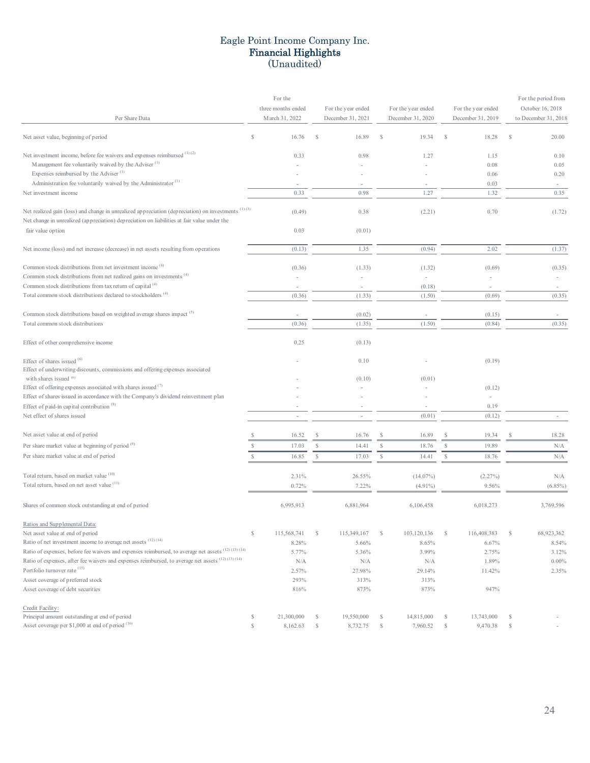# Eagle Point Income Company Inc. Financial Highlights (Unaudited)

|                                                                                                                                                                                                    |               | For the            |               |                    |    |                          |    |                          |               | For the period from  |
|----------------------------------------------------------------------------------------------------------------------------------------------------------------------------------------------------|---------------|--------------------|---------------|--------------------|----|--------------------------|----|--------------------------|---------------|----------------------|
|                                                                                                                                                                                                    |               | three months ended |               | For the year ended |    | For the year ended       |    | For the year ended       |               | October 16, 2018     |
| Per Share Data                                                                                                                                                                                     |               | March 31, 2022     |               | December 31, 2021  |    | December 31, 2020        |    | December 31, 2019        |               | to December 31, 2018 |
| Net asset value, beginning of period                                                                                                                                                               | <sup>\$</sup> | 16.76              |               | 16.89              | \$ | 19.34                    |    | 18.28                    | -S            | 20.00                |
| Net investment income, before fee waivers and expenses reimbursed (1)(2)                                                                                                                           |               | 0.33               |               | 0.98               |    | 1.27                     |    | 1.15                     |               | 0.10                 |
| Management fee voluntarily waived by the Adviser <sup>(1)</sup>                                                                                                                                    |               |                    |               |                    |    |                          |    | 0.08                     |               | 0.05                 |
| Expenses reimbursed by the Adviser <sup>(1)</sup>                                                                                                                                                  |               |                    |               |                    |    |                          |    | 0.06                     |               | 0.20                 |
| Administration fee voluntarily waived by the Administrator <sup>(1)</sup>                                                                                                                          |               |                    |               |                    |    |                          |    | 0.03                     |               |                      |
| Net investment income                                                                                                                                                                              |               | 0.33               |               | 0.98               |    | 1.27                     |    | 1.32                     |               | 0.35                 |
| Net realized gain (loss) and change in unrealized appreciation (depreciation) on investments (1)(3)<br>Net change in unrealized (appreciation) depreciation on liabilities at fair value under the |               | (0.49)             |               | 0.38               |    | (2.21)                   |    | 0.70                     |               | (1.72)               |
| fair value option                                                                                                                                                                                  |               | 0.03               |               | (0.01)             |    |                          |    |                          |               |                      |
| Net income (loss) and net increase (decrease) in net assets resulting from operations                                                                                                              |               | (0.13)             |               | 1.35               |    | (0.94)                   |    | 2.02                     |               | (1.37)               |
| Common stock distributions from net investment income <sup>(4)</sup>                                                                                                                               |               | (0.36)             |               | (1.33)             |    | (1.32)                   |    | (0.69)                   |               | (0.35)               |
| Common stock distributions from net realized gains on investments <sup>(4)</sup>                                                                                                                   |               |                    |               |                    |    |                          |    |                          |               |                      |
| Common stock distributions from tax return of capital <sup>(4)</sup>                                                                                                                               |               | ٠                  |               | $\sim$             |    | (0.18)                   |    | $\overline{\phantom{a}}$ |               | $\sim$               |
| Total common stock distributions declared to stockholders <sup>(4)</sup>                                                                                                                           |               | (0.36)             |               | (1.33)             |    | (1.50)                   |    | (0.69)                   |               | (0.35)               |
|                                                                                                                                                                                                    |               |                    |               |                    |    |                          |    |                          |               |                      |
| Common stock distributions based on weighted average shares impact <sup>(5)</sup>                                                                                                                  |               | $\sim$             |               | (0.02)             |    | $\overline{\phantom{a}}$ |    | (0.15)                   |               |                      |
| Total common stock distributions                                                                                                                                                                   |               | (0.36)             |               | (1.35)             |    | (1.50)                   |    | (0.84)                   |               | (0.35)               |
| Effect of other comprehensive income                                                                                                                                                               |               | 0.25               |               | (0.13)             |    |                          |    |                          |               |                      |
| Effect of shares issued (6)                                                                                                                                                                        |               |                    |               | 0.10               |    |                          |    | (0.19)                   |               |                      |
| Effect of underwriting discounts, commissions and offering expenses associated                                                                                                                     |               |                    |               |                    |    |                          |    |                          |               |                      |
| with shares issued (6)                                                                                                                                                                             |               |                    |               | (0.10)             |    | (0.01)                   |    |                          |               |                      |
| Effect of offering expenses associated with shares issued $(7)$                                                                                                                                    |               |                    |               |                    |    |                          |    | (0.12)                   |               |                      |
| Effect of shares issued in accordance with the Company's dividend reinvestment plan                                                                                                                |               |                    |               |                    |    |                          |    | $\overline{\phantom{a}}$ |               |                      |
| Effect of paid-in capital contribution $(8)$                                                                                                                                                       |               |                    |               |                    |    |                          |    | 0.19                     |               |                      |
| Net effect of shares issued                                                                                                                                                                        |               | $\sim$             |               |                    |    | (0.01)                   |    | (0.12)                   |               |                      |
| Net asset value at end of period                                                                                                                                                                   |               | 16.52              | <sup>S</sup>  | 16.76              | S  | 16.89                    | S  | 19.34                    |               | 18.28                |
| Per share market value at beginning of period <sup>(9)</sup>                                                                                                                                       | S             | 17.03              | S.            | 14.41              | S  | 18.76                    | S. | 19.89                    |               | N/A                  |
| Per share market value at end of period                                                                                                                                                            |               | 16.85              | <sup>\$</sup> | 17.03              | S  | 14.41                    | S  | 18.76                    |               | N/A                  |
| Total return, based on market value (10)                                                                                                                                                           |               |                    |               |                    |    |                          |    |                          |               |                      |
| Total return, based on net asset value (11)                                                                                                                                                        |               | 2.31%              |               | 26.55%             |    | $(14.07\%)$              |    | (2.27%)                  |               | N/A                  |
|                                                                                                                                                                                                    |               | 0.72%              |               | 7.22%              |    | $(4.91\%)$               |    | 9.56%                    |               | $(6.85\%)$           |
| Shares of common stock outstanding at end of period                                                                                                                                                |               | 6,995,913          |               | 6,881,964          |    | 6,106,458                |    | 6,018,273                |               | 3,769,596            |
| Ratios and Supplemental Data:                                                                                                                                                                      |               |                    |               |                    |    |                          |    |                          |               |                      |
| Net asset value at end of period                                                                                                                                                                   | \$            | 115,568,741        | S.            | 115,349,167        | S  | 103,120,136              | S  | 116,408,383              | <sup>\$</sup> | 68,923,362           |
| Ratio of net investment income to average net assets $(12)$ $(14)$                                                                                                                                 |               | 8.28%              |               | 5.66%              |    | 8.65%                    |    | 6.67%                    |               | 8.54%                |
| Ratio of expenses, before fee waivers and expenses reimbursed, to average net assets (12) (13) (14)                                                                                                |               | 5.77%              |               | 5.36%              |    | 3.99%                    |    | 2.75%                    |               | 3.12%                |
| Ratio of expenses, after fee waivers and expenses reimbursed, to average net assets (12) (13) (14)                                                                                                 |               | N/A                |               | N/A                |    | N/A                      |    | 1.89%                    |               | $0.00\%$             |
| Portfolio turnover rate (15)                                                                                                                                                                       |               | 2.57%              |               | 27.98%             |    | 29.14%                   |    | 11.42%                   |               | 2.35%                |
| Asset coverage of preferred stock                                                                                                                                                                  |               | 293%               |               | 313%               |    | 313%                     |    |                          |               |                      |
| Asset coverage of debt securities                                                                                                                                                                  |               | 816%               |               | 873%               |    | 873%                     |    | 947%                     |               |                      |
| Credit Facility:                                                                                                                                                                                   |               |                    |               |                    |    |                          |    |                          |               |                      |
| Principal amount outstanding at end of period                                                                                                                                                      | \$            | 21,300,000         | S.            | 19,550,000         | S  | 14,815,000               | \$ | 13,743,000               | -S            |                      |
| Asset coverage per \$1,000 at end of period (16)                                                                                                                                                   | \$            | 8,162.63           | <sup>\$</sup> | 8,732.75           | S  | 7,960.52                 | \$ | 9,470.38                 | <sup>\$</sup> |                      |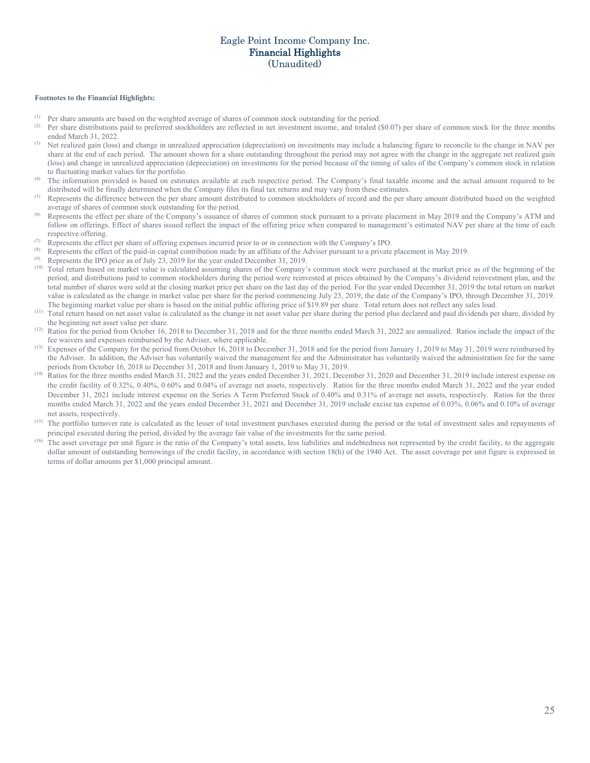# Eagle Point Income Company Inc. Financial Highlights (Unaudited)

#### **Footnotes to the Financial Highlights:**

- (1) Per share amounts are based on the weighted average of shares of common stock outstanding for the period.<br>(2) Per share distributions axid to anofomed stockholders are adjacted in not investment income, and totaled
- (2) Per share distributions paid to preferred stockholders are reflected in net investment income, and totaled (\$0.07) per share of common stock for the three months ended March 31, 2022.
- (3) Net realized gain (loss) and change in unrealized appreciation (depreciation) on investments may include a balancing figure to reconcile to the change in NAV per share at the end of each period. The amount shown for a share outstanding throughout the period may not agree with the change in the aggregate net realized gain (loss) and change in unrealized appreciation (depreciation) on investments for the period because of the timing of sales of the Company's common stock in relation to fluctuating market values for the portfolio.
- (4) The information provided is based on estimates available at each respective period. The Company's final taxable income and the actual amount required to be distributed will be finally determined when the Company files its final tax returns and may vary from these estimates.
- <sup>(5)</sup> Represents the difference between the per share amount distributed to common stockholders of record and the per share amount distributed based on the weighted average of shares of common stock outstanding for the period.
- <sup>(6)</sup> Represents the effect per share of the Company's issuance of shares of common stock pursuant to a private placement in May 2019 and the Company's ATM and follow on offerings. Effect of shares issued reflect the impact of the offering price when compared to management's estimated NAV per share at the time of each respective offering.
- (7) Represents the effect per share of offering expenses incurred prior to or in connection with the Company's IPO.
- (8) Represents the effect of the paid-in capital contribution made by an affiliate of the Adviser pursuant to a private placement in May 2019.
- Represents the IPO price as of July 23, 2019 for the year ended December 31, 2019.
- (10) Total return based on market value is calculated assuming shares of the Company's common stock were purchased at the market price as of the beginning of the period, and distributions paid to common stockholders during the period were reinvested at prices obtained by the Company's dividend reinvestment plan, and the total number of shares were sold at the closing market price per share on the last day of the period. For the year ended December 31, 2019 the total return on market value is calculated as the change in market value per share for the period commencing July 23, 2019, the date of the Company's IPO, through December 31, 2019. The beginning market value per share is based on the initial public offering price of \$19.89 per share. Total return does not reflect any sales load.
- (11) Total return based on net asset value is calculated as the change in net asset value per share during the period plus declared and paid dividends per share, divided by the beginning net asset value per share.
- <sup>(12)</sup> Ratios for the period from October 16, 2018 to December 31, 2018 and for the three months ended March 31, 2022 are annualized. Ratios include the impact of the fee waivers and expenses reimbursed by the Adviser, where applicable.
- <sup>(13)</sup> Expenses of the Company for the period from October 16, 2018 to December 31, 2018 and for the period from January 1, 2019 to May 31, 2019 were reimbursed by the Adviser. In addition, the Adviser has voluntarily waived the management fee and the Administrator has voluntarily waived the administration fee for the same periods from October 16, 2018 to December 31, 2018 and from January 1, 2019 to May 31, 2019.
- <sup>(14)</sup> Ratios for the three months ended March 31, 2022 and the years ended December 31, 2021, December 31, 2020 and December 31, 2019 include interest expense on the credit facility of 0.32%, 0.40%, 0.60% and 0.04% of average net assets, respectively. Ratios for the three months ended March 31, 2022 and the year ended December 31, 2021 include interest expense on the Series A Term Preferred Stock of 0.40% and 0.31% of average net assets, respectively. Ratios for the three months ended March 31, 2022 and the years ended December 31, 2021 and December 31, 2019 include excise tax expense of 0.03%, 0.06% and 0.10% of average net assets, respectively.
- (15) The portfolio turnover rate is calculated as the lesser of total investment purchases executed during the period or the total of investment sales and repayments of principal executed during the period, divided by the average fair value of the investments for the same period.
- <sup>(16)</sup> The asset coverage per unit figure is the ratio of the Company's total assets, less liabilities and indebtedness not represented by the credit facility, to the aggregate dollar amount of outstanding borrowings of the credit facility, in accordance with section 18(h) of the 1940 Act. The asset coverage per unit figure is expressed in terms of dollar amounts per \$1,000 principal amount.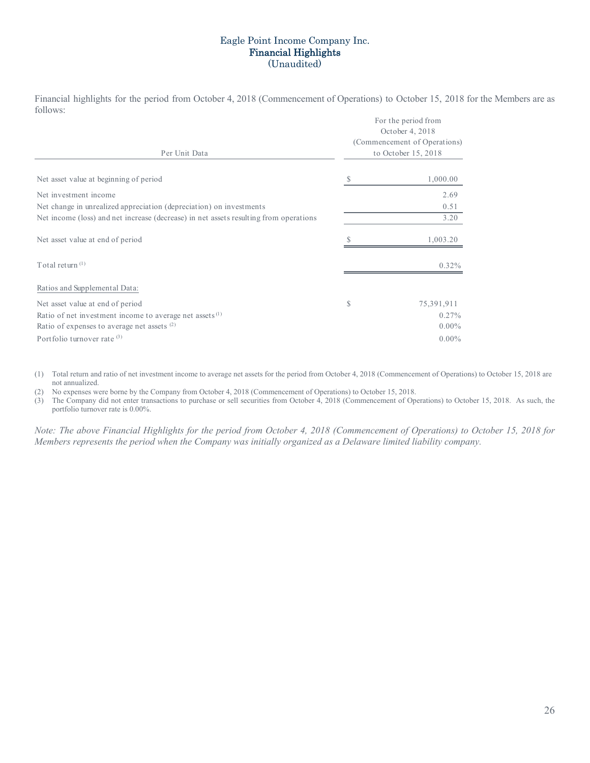# Eagle Point Income Company Inc. Financial Highlights (Unaudited)

Financial highlights for the period from October 4, 2018 (Commencement of Operations) to October 15, 2018 for the Members are as follows: For the period fr

| Per Unit Data                                                                         | For the period from<br>October 4, 2018<br>(Commencement of Operations)<br>to October 15, 2018 |            |  |  |
|---------------------------------------------------------------------------------------|-----------------------------------------------------------------------------------------------|------------|--|--|
| Net asset value at beginning of period                                                | S                                                                                             | 1,000.00   |  |  |
| Net investment income                                                                 |                                                                                               | 2.69       |  |  |
| Net change in unrealized appreciation (depreciation) on investments                   |                                                                                               | 0.51       |  |  |
| Net income (loss) and net increase (decrease) in net assets resulting from operations |                                                                                               | 3.20       |  |  |
| Net asset value at end of period                                                      |                                                                                               | 1,003.20   |  |  |
| Total return $(1)$                                                                    |                                                                                               | $0.32\%$   |  |  |
| Ratios and Supplemental Data:                                                         |                                                                                               |            |  |  |
| Net asset value at end of period                                                      | \$                                                                                            | 75,391,911 |  |  |
| Ratio of net investment income to average net assets $(1)$                            |                                                                                               | $0.27\%$   |  |  |
| Ratio of expenses to average net assets $(2)$                                         |                                                                                               | $0.00\%$   |  |  |
| Portfolio turnover rate $(3)$                                                         |                                                                                               | $0.00\%$   |  |  |
|                                                                                       |                                                                                               |            |  |  |

(1) Total return and ratio of net investment income to average net assets for the period from October 4, 2018 (Commencement of Operations) to October 15, 2018 are not annualized.

(2) No expenses were borne by the Company from October 4, 2018 (Commencement of Operations) to October 15, 2018.

(3) The Company did not enter transactions to purchase or sell securities from October 4, 2018 (Commencement of Operations) to October 15, 2018. As such, the portfolio turnover rate is 0.00%.

*Note: The above Financial Highlights for the period from October 4, 2018 (Commencement of Operations) to October 15, 2018 for Members represents the period when the Company was initially organized as a Delaware limited liability company.*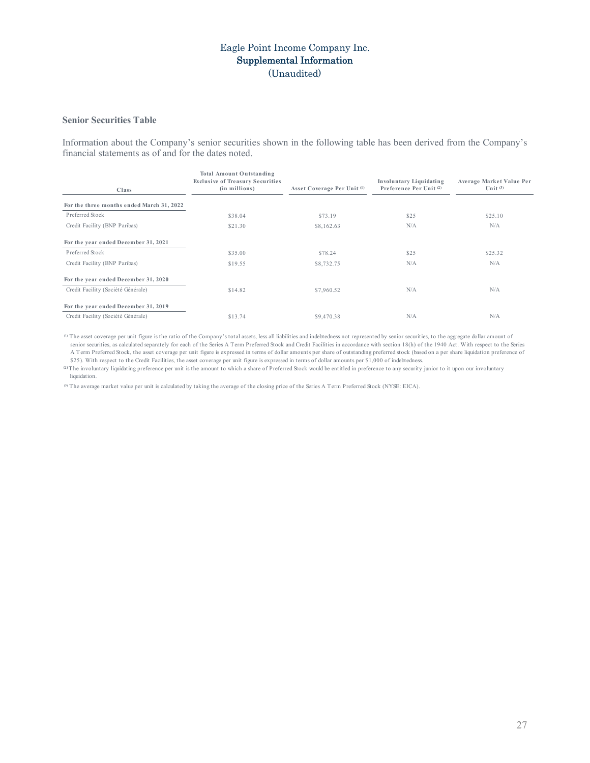# Eagle Point Income Company Inc. Supplemental Information (Unaudited)

### **Senior Securities Table**

Information about the Company's senior securities shown in the following table has been derived from the Company's financial statements as of and for the dates noted.

| Class                                     | Total Amount Outstanding<br><b>Exclusive of Treasury Securities</b><br>(in millions) | Asset Coverage Per Unit <sup>(1)</sup> | <b>Involuntary Liquidating</b><br>Preference Per Unit <sup>(2)</sup> | Average Market Value Per<br>Unit $(3)$ |
|-------------------------------------------|--------------------------------------------------------------------------------------|----------------------------------------|----------------------------------------------------------------------|----------------------------------------|
| For the three months ended March 31, 2022 |                                                                                      |                                        |                                                                      |                                        |
| Preferred Stock                           | \$38.04                                                                              | \$73.19                                | \$25                                                                 | \$25.10                                |
| Credit Facility (BNP Paribas)             | \$21.30                                                                              | \$8,162.63                             | N/A                                                                  | N/A                                    |
| For the year ended December 31, 2021      |                                                                                      |                                        |                                                                      |                                        |
| Preferred Stock                           | \$35.00                                                                              | \$78.24                                | \$25                                                                 | \$25.32                                |
| Credit Facility (BNP Paribas)             | \$19.55                                                                              | \$8,732.75                             | N/A                                                                  | N/A                                    |
| For the year ended December 31, 2020      |                                                                                      |                                        |                                                                      |                                        |
| Credit Facility (Société Générale)        | \$14.82                                                                              | \$7,960.52                             | N/A                                                                  | N/A                                    |
| For the year ended December 31, 2019      |                                                                                      |                                        |                                                                      |                                        |
| Credit Facility (Société Générale)        | \$13.74                                                                              | \$9,470.38                             | N/A                                                                  | N/A                                    |

<sup>(1)</sup> The asset coverage per unit figure is the ratio of the Company's total assets, less all liabilities and indebtedness not represented by senior securities, to the aggregate dollar amount of senior securities, as calculated separately for each of the Series A Term Preferred Stock and Credit Facilities in accordance with section 18(h) of the 1940 Act. With respect to the Series A Term Preferred Stock, the asset coverage per unit figure is expressed in terms of dollar amounts per share of outstanding preferred stock (based on a per share liquidation preference of \$25). With respect to the Credit Facilities, the asset coverage per unit figure is expressed in terms of dollar amounts per \$1,000 of indebtedness.

⁽²⁾The involuntary liquidating preference per unit is the amount to which a share of Preferred Stock would be entitled in preference to any security junior to it upon our involuntary liquidation.

⁽³⁾ The average market value per unit is calculated by taking the average of the closing price of the Series A Term Preferred Stock (NYSE: EICA).